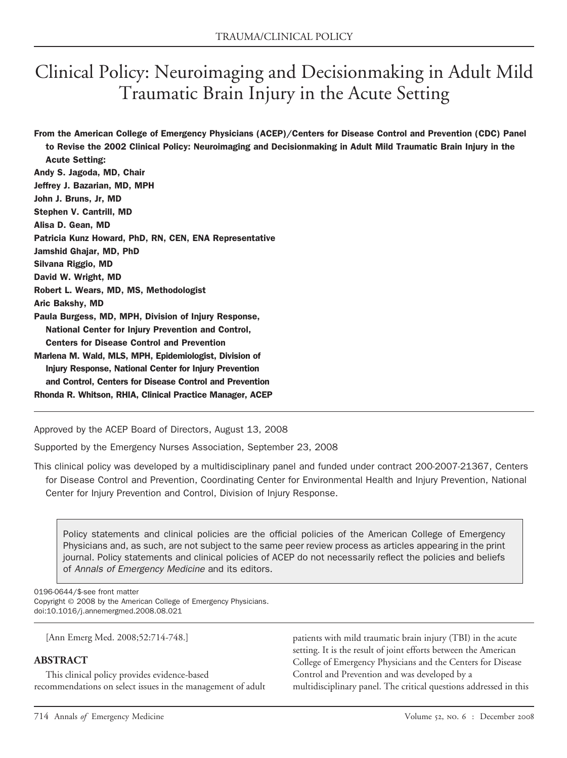# Clinical Policy: Neuroimaging and Decisionmaking in Adult Mild Traumatic Brain Injury in the Acute Setting

From the American College of Emergency Physicians (ACEP)/Centers for Disease Control and Prevention (CDC) Panel to Revise the 2002 Clinical Policy: Neuroimaging and Decisionmaking in Adult Mild Traumatic Brain Injury in the Acute Setting: Andy S. Jagoda, MD, Chair Jeffrey J. Bazarian, MD, MPH John J. Bruns, Jr, MD Stephen V. Cantrill, MD Alisa D. Gean, MD Patricia Kunz Howard, PhD, RN, CEN, ENA Representative Jamshid Ghajar, MD, PhD Silvana Riggio, MD David W. Wright, MD Robert L. Wears, MD, MS, Methodologist Aric Bakshy, MD Paula Burgess, MD, MPH, Division of Injury Response, National Center for Injury Prevention and Control, Centers for Disease Control and Prevention Marlena M. Wald, MLS, MPH, Epidemiologist, Division of Injury Response, National Center for Injury Prevention and Control, Centers for Disease Control and Prevention Rhonda R. Whitson, RHIA, Clinical Practice Manager, ACEP

Approved by the ACEP Board of Directors, August 13, 2008

Supported by the Emergency Nurses Association, September 23, 2008

This clinical policy was developed by a multidisciplinary panel and funded under contract 200-2007-21367, Centers for Disease Control and Prevention, Coordinating Center for Environmental Health and Injury Prevention, National Center for Injury Prevention and Control, Division of Injury Response.

Policy statements and clinical policies are the official policies of the American College of Emergency Physicians and, as such, are not subject to the same peer review process as articles appearing in the print journal. Policy statements and clinical policies of ACEP do not necessarily reflect the policies and beliefs of *Annals of Emergency Medicine* and its editors.

0196-0644/\$-see front matter Copyright © 2008 by the American College of Emergency Physicians. doi:10.1016/j.annemergmed.2008.08.021

[Ann Emerg Med. 2008;52:714-748.]

### **ABSTRACT**

This clinical policy provides evidence-based recommendations on select issues in the management of adult patients with mild traumatic brain injury (TBI) in the acute setting. It is the result of joint efforts between the American College of Emergency Physicians and the Centers for Disease Control and Prevention and was developed by a multidisciplinary panel. The critical questions addressed in this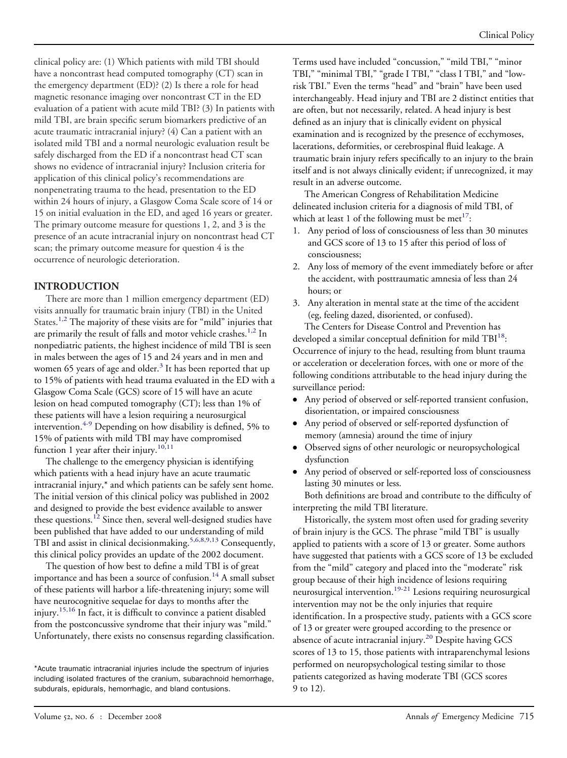clinical policy are: (1) Which patients with mild TBI should have a noncontrast head computed tomography (CT) scan in the emergency department (ED)? (2) Is there a role for head magnetic resonance imaging over noncontrast CT in the ED evaluation of a patient with acute mild TBI? (3) In patients with mild TBI, are brain specific serum biomarkers predictive of an acute traumatic intracranial injury? (4) Can a patient with an isolated mild TBI and a normal neurologic evaluation result be safely discharged from the ED if a noncontrast head CT scan shows no evidence of intracranial injury? Inclusion criteria for application of this clinical policy's recommendations are nonpenetrating trauma to the head, presentation to the ED within 24 hours of injury, a Glasgow Coma Scale score of 14 or 15 on initial evaluation in the ED, and aged 16 years or greater. The primary outcome measure for questions 1, 2, and 3 is the presence of an acute intracranial injury on noncontrast head CT scan; the primary outcome measure for question 4 is the occurrence of neurologic deterioration.

### **INTRODUCTION**

There are more than 1 million emergency department (ED) visits annually for traumatic brain injury (TBI) in the United States.<sup>[1,2](#page-11-0)</sup> The majority of these visits are for "mild" injuries that are primarily the result of falls and motor vehicle crashes.<sup>[1,2](#page-11-0)</sup> In nonpediatric patients, the highest incidence of mild TBI is seen in males between the ages of 15 and 24 years and in men and women 65 years of age and older.<sup>[3](#page-11-0)</sup> It has been reported that up to 15% of patients with head trauma evaluated in the ED with a Glasgow Coma Scale (GCS) score of 15 will have an acute lesion on head computed tomography (CT); less than 1% of these patients will have a lesion requiring a neurosurgical intervention.[4-9](#page-11-0) Depending on how disability is defined, 5% to 15% of patients with mild TBI may have compromised function 1 year after their injury.<sup>[10,11](#page-11-0)</sup>

The challenge to the emergency physician is identifying which patients with a head injury have an acute traumatic intracranial injury,\* and which patients can be safely sent home. The initial version of this clinical policy was published in 2002 and designed to provide the best evidence available to answer these questions.<sup>[12](#page-11-0)</sup> Since then, several well-designed studies have been published that have added to our understanding of mild TBI and assist in clinical decisionmaking.<sup>[5,6,8,9,13](#page-11-0)</sup> Consequently, this clinical policy provides an update of the 2002 document.

The question of how best to define a mild TBI is of great importance and has been a source of confusion.<sup>[14](#page-11-0)</sup> A small subset of these patients will harbor a life-threatening injury; some will have neurocognitive sequelae for days to months after the injury.[15,16](#page-11-0) In fact, it is difficult to convince a patient disabled from the postconcussive syndrome that their injury was "mild." Unfortunately, there exists no consensus regarding classification.

Terms used have included "concussion," "mild TBI," "minor TBI," "minimal TBI," "grade I TBI," "class I TBI," and "lowrisk TBI." Even the terms "head" and "brain" have been used interchangeably. Head injury and TBI are 2 distinct entities that are often, but not necessarily, related. A head injury is best defined as an injury that is clinically evident on physical examination and is recognized by the presence of ecchymoses, lacerations, deformities, or cerebrospinal fluid leakage. A traumatic brain injury refers specifically to an injury to the brain itself and is not always clinically evident; if unrecognized, it may result in an adverse outcome.

The American Congress of Rehabilitation Medicine delineated inclusion criteria for a diagnosis of mild TBI, of which at least 1 of the following must be met<sup>17</sup>:

- 1. Any period of loss of consciousness of less than 30 minutes and GCS score of 13 to 15 after this period of loss of consciousness;
- 2. Any loss of memory of the event immediately before or after the accident, with posttraumatic amnesia of less than 24 hours; or
- 3. Any alteration in mental state at the time of the accident (eg, feeling dazed, disoriented, or confused).

The Centers for Disease Control and Prevention has developed a similar conceptual definition for mild TBI<sup>18</sup>: Occurrence of injury to the head, resulting from blunt trauma or acceleration or deceleration forces, with one or more of the following conditions attributable to the head injury during the surveillance period:

- Any period of observed or self-reported transient confusion, disorientation, or impaired consciousness
- Any period of observed or self-reported dysfunction of memory (amnesia) around the time of injury
- Observed signs of other neurologic or neuropsychological dysfunction
- Any period of observed or self-reported loss of consciousness lasting 30 minutes or less.

Both definitions are broad and contribute to the difficulty of interpreting the mild TBI literature.

Historically, the system most often used for grading severity of brain injury is the GCS. The phrase "mild TBI" is usually applied to patients with a score of 13 or greater. Some authors have suggested that patients with a GCS score of 13 be excluded from the "mild" category and placed into the "moderate" risk group because of their high incidence of lesions requiring neurosurgical intervention.[19-21](#page-11-0) Lesions requiring neurosurgical intervention may not be the only injuries that require identification. In a prospective study, patients with a GCS score of 13 or greater were grouped according to the presence or absence of acute intracranial injury.<sup>[20](#page-12-0)</sup> Despite having GCS scores of 13 to 15, those patients with intraparenchymal lesions performed on neuropsychological testing similar to those patients categorized as having moderate TBI (GCS scores 9 to 12).

<sup>\*</sup>Acute traumatic intracranial injuries include the spectrum of injuries including isolated fractures of the cranium, subarachnoid hemorrhage, subdurals, epidurals, hemorrhagic, and bland contusions.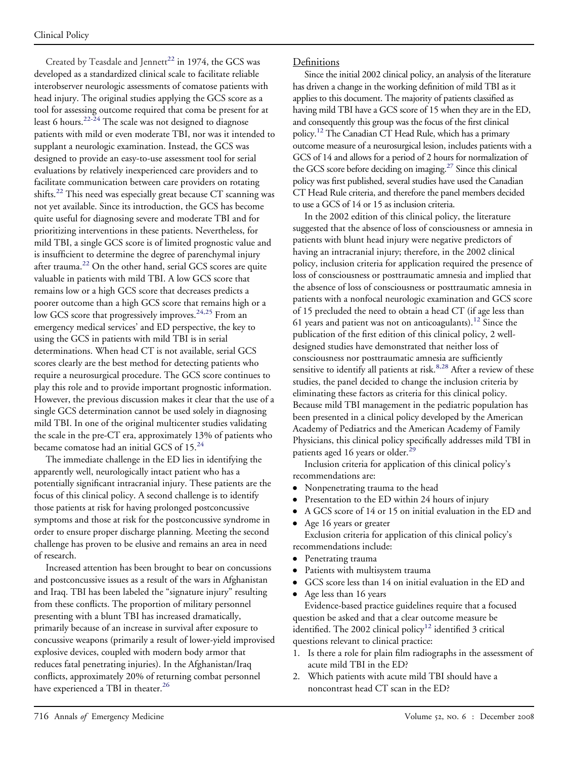Created by Teasdale and Jennett<sup>[22](#page-12-0)</sup> in 1974, the GCS was developed as a standardized clinical scale to facilitate reliable interobserver neurologic assessments of comatose patients with head injury. The original studies applying the GCS score as a tool for assessing outcome required that coma be present for at least 6 hours.<sup>[22-24](#page-12-0)</sup> The scale was not designed to diagnose patients with mild or even moderate TBI, nor was it intended to supplant a neurologic examination. Instead, the GCS was designed to provide an easy-to-use assessment tool for serial evaluations by relatively inexperienced care providers and to facilitate communication between care providers on rotating shifts.<sup>[22](#page-12-0)</sup> This need was especially great because CT scanning was not yet available. Since its introduction, the GCS has become quite useful for diagnosing severe and moderate TBI and for prioritizing interventions in these patients. Nevertheless, for mild TBI, a single GCS score is of limited prognostic value and is insufficient to determine the degree of parenchymal injury after trauma.<sup>[22](#page-12-0)</sup> On the other hand, serial GCS scores are quite valuable in patients with mild TBI. A low GCS score that remains low or a high GCS score that decreases predicts a poorer outcome than a high GCS score that remains high or a low GCS score that progressively improves.<sup>[24,25](#page-12-0)</sup> From an emergency medical services' and ED perspective, the key to using the GCS in patients with mild TBI is in serial determinations. When head CT is not available, serial GCS scores clearly are the best method for detecting patients who require a neurosurgical procedure. The GCS score continues to play this role and to provide important prognostic information. However, the previous discussion makes it clear that the use of a single GCS determination cannot be used solely in diagnosing mild TBI. In one of the original multicenter studies validating the scale in the pre-CT era, approximately 13% of patients who became comatose had an initial GCS of 15.<sup>[24](#page-12-0)</sup>

The immediate challenge in the ED lies in identifying the apparently well, neurologically intact patient who has a potentially significant intracranial injury. These patients are the focus of this clinical policy. A second challenge is to identify those patients at risk for having prolonged postconcussive symptoms and those at risk for the postconcussive syndrome in order to ensure proper discharge planning. Meeting the second challenge has proven to be elusive and remains an area in need of research.

Increased attention has been brought to bear on concussions and postconcussive issues as a result of the wars in Afghanistan and Iraq. TBI has been labeled the "signature injury" resulting from these conflicts. The proportion of military personnel presenting with a blunt TBI has increased dramatically, primarily because of an increase in survival after exposure to concussive weapons (primarily a result of lower-yield improvised explosive devices, coupled with modern body armor that reduces fatal penetrating injuries). In the Afghanistan/Iraq conflicts, approximately 20% of returning combat personnel have experienced a TBI in theater.<sup>[26](#page-12-0)</sup>

### **Definitions**

Since the initial 2002 clinical policy, an analysis of the literature has driven a change in the working definition of mild TBI as it applies to this document. The majority of patients classified as having mild TBI have a GCS score of 15 when they are in the ED, and consequently this group was the focus of the first clinical policy.<sup>12</sup> The Canadian CT Head Rule, which has a primary outcome measure of a neurosurgical lesion, includes patients with a GCS of 14 and allows for a period of 2 hours for normalization of the GCS score before deciding on imaging.<sup>27</sup> Since this clinical policy was first published, several studies have used the Canadian CT Head Rule criteria, and therefore the panel members decided to use a GCS of 14 or 15 as inclusion criteria.

In the 2002 edition of this clinical policy, the literature suggested that the absence of loss of consciousness or amnesia in patients with blunt head injury were negative predictors of having an intracranial injury; therefore, in the 2002 clinical policy, inclusion criteria for application required the presence of loss of consciousness or posttraumatic amnesia and implied that the absence of loss of consciousness or posttraumatic amnesia in patients with a nonfocal neurologic examination and GCS score of 15 precluded the need to obtain a head CT (if age less than 61 years and patient was not on anticoagulants).<sup>[12](#page-11-0)</sup> Since the publication of the first edition of this clinical policy, 2 welldesigned studies have demonstrated that neither loss of consciousness nor posttraumatic amnesia are sufficiently sensitive to identify all patients at risk.<sup>[8,28](#page-11-0)</sup> After a review of these studies, the panel decided to change the inclusion criteria by eliminating these factors as criteria for this clinical policy. Because mild TBI management in the pediatric population has been presented in a clinical policy developed by the American Academy of Pediatrics and the American Academy of Family Physicians, this clinical policy specifically addresses mild TBI in patients aged 16 years or older.<sup>[29](#page-12-0)</sup>

Inclusion criteria for application of this clinical policy's recommendations are:

- Nonpenetrating trauma to the head
- Presentation to the ED within 24 hours of injury
- A GCS score of 14 or 15 on initial evaluation in the ED and
- Age 16 years or greater Exclusion criteria for application of this clinical policy's recommendations include:
- Penetrating trauma
- Patients with multisystem trauma
- GCS score less than 14 on initial evaluation in the ED and
- Age less than 16 years

Evidence-based practice guidelines require that a focused question be asked and that a clear outcome measure be identified. The 2002 clinical policy<sup>[12](#page-11-0)</sup> identified 3 critical questions relevant to clinical practice:

- 1. Is there a role for plain film radiographs in the assessment of acute mild TBI in the ED?
- 2. Which patients with acute mild TBI should have a noncontrast head CT scan in the ED?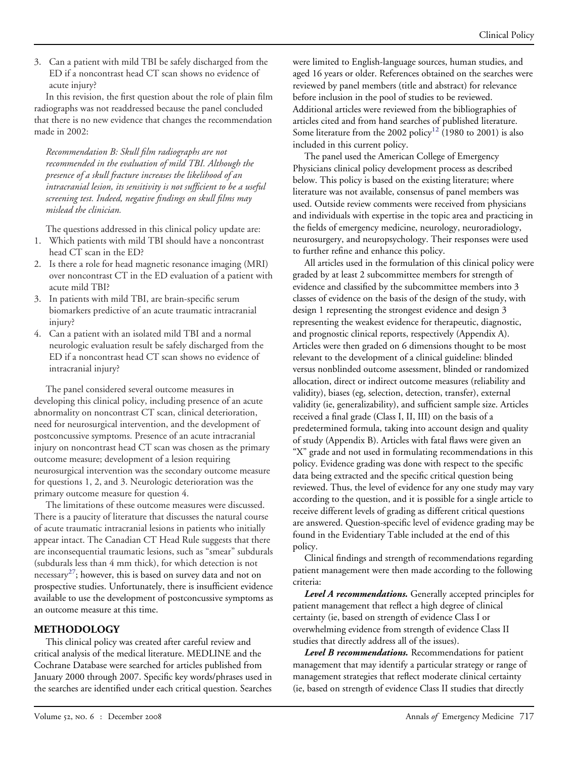3. Can a patient with mild TBI be safely discharged from the ED if a noncontrast head CT scan shows no evidence of acute injury?

In this revision, the first question about the role of plain film radiographs was not readdressed because the panel concluded that there is no new evidence that changes the recommendation made in 2002:

*Recommendation B: Skull film radiographs are not recommended in the evaluation of mild TBI. Although the presence of a skull fracture increases the likelihood of an intracranial lesion, its sensitivity is not sufficient to be a useful screening test. Indeed, negative findings on skull films may mislead the clinician.*

The questions addressed in this clinical policy update are:

- 1. Which patients with mild TBI should have a noncontrast head CT scan in the ED?
- 2. Is there a role for head magnetic resonance imaging (MRI) over noncontrast CT in the ED evaluation of a patient with acute mild TBI?
- 3. In patients with mild TBI, are brain-specific serum biomarkers predictive of an acute traumatic intracranial injury?
- 4. Can a patient with an isolated mild TBI and a normal neurologic evaluation result be safely discharged from the ED if a noncontrast head CT scan shows no evidence of intracranial injury?

The panel considered several outcome measures in developing this clinical policy, including presence of an acute abnormality on noncontrast CT scan, clinical deterioration, need for neurosurgical intervention, and the development of postconcussive symptoms. Presence of an acute intracranial injury on noncontrast head CT scan was chosen as the primary outcome measure; development of a lesion requiring neurosurgical intervention was the secondary outcome measure for questions 1, 2, and 3. Neurologic deterioration was the primary outcome measure for question 4.

The limitations of these outcome measures were discussed. There is a paucity of literature that discusses the natural course of acute traumatic intracranial lesions in patients who initially appear intact. The Canadian CT Head Rule suggests that there are inconsequential traumatic lesions, such as "smear" subdurals (subdurals less than 4 mm thick), for which detection is not necessary<sup>27</sup>; however, this is based on survey data and not on prospective studies. Unfortunately, there is insufficient evidence available to use the development of postconcussive symptoms as an outcome measure at this time.

### **METHODOLOGY**

This clinical policy was created after careful review and critical analysis of the medical literature. MEDLINE and the Cochrane Database were searched for articles published from January 2000 through 2007. Specific key words/phrases used in the searches are identified under each critical question. Searches were limited to English-language sources, human studies, and aged 16 years or older. References obtained on the searches were reviewed by panel members (title and abstract) for relevance before inclusion in the pool of studies to be reviewed. Additional articles were reviewed from the bibliographies of articles cited and from hand searches of published literature. Some literature from the 2002 policy<sup>[12](#page-11-0)</sup> (1980 to 2001) is also included in this current policy.

The panel used the American College of Emergency Physicians clinical policy development process as described below. This policy is based on the existing literature; where literature was not available, consensus of panel members was used. Outside review comments were received from physicians and individuals with expertise in the topic area and practicing in the fields of emergency medicine, neurology, neuroradiology, neurosurgery, and neuropsychology. Their responses were used to further refine and enhance this policy.

All articles used in the formulation of this clinical policy were graded by at least 2 subcommittee members for strength of evidence and classified by the subcommittee members into 3 classes of evidence on the basis of the design of the study, with design 1 representing the strongest evidence and design 3 representing the weakest evidence for therapeutic, diagnostic, and prognostic clinical reports, respectively (Appendix A). Articles were then graded on 6 dimensions thought to be most relevant to the development of a clinical guideline: blinded versus nonblinded outcome assessment, blinded or randomized allocation, direct or indirect outcome measures (reliability and validity), biases (eg, selection, detection, transfer), external validity (ie, generalizability), and sufficient sample size. Articles received a final grade (Class I, II, III) on the basis of a predetermined formula, taking into account design and quality of study (Appendix B). Articles with fatal flaws were given an "X" grade and not used in formulating recommendations in this policy. Evidence grading was done with respect to the specific data being extracted and the specific critical question being reviewed. Thus, the level of evidence for any one study may vary according to the question, and it is possible for a single article to receive different levels of grading as different critical questions are answered. Question-specific level of evidence grading may be found in the Evidentiary Table included at the end of this policy.

Clinical findings and strength of recommendations regarding patient management were then made according to the following criteria:

*Level A recommendations.* Generally accepted principles for patient management that reflect a high degree of clinical certainty (ie, based on strength of evidence Class I or overwhelming evidence from strength of evidence Class II studies that directly address all of the issues).

*Level B recommendations.* Recommendations for patient management that may identify a particular strategy or range of management strategies that reflect moderate clinical certainty (ie, based on strength of evidence Class II studies that directly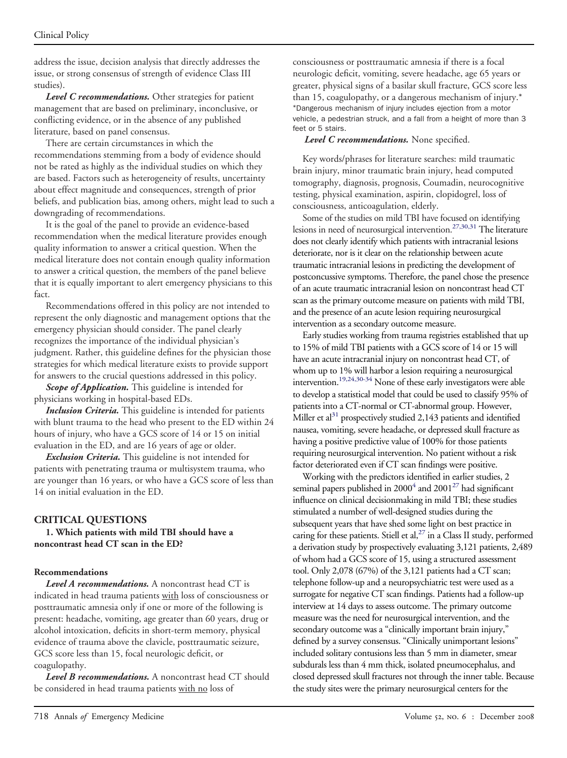address the issue, decision analysis that directly addresses the issue, or strong consensus of strength of evidence Class III studies).

*Level C recommendations.* Other strategies for patient management that are based on preliminary, inconclusive, or conflicting evidence, or in the absence of any published literature, based on panel consensus.

There are certain circumstances in which the recommendations stemming from a body of evidence should not be rated as highly as the individual studies on which they are based. Factors such as heterogeneity of results, uncertainty about effect magnitude and consequences, strength of prior beliefs, and publication bias, among others, might lead to such a downgrading of recommendations.

It is the goal of the panel to provide an evidence-based recommendation when the medical literature provides enough quality information to answer a critical question. When the medical literature does not contain enough quality information to answer a critical question, the members of the panel believe that it is equally important to alert emergency physicians to this fact.

Recommendations offered in this policy are not intended to represent the only diagnostic and management options that the emergency physician should consider. The panel clearly recognizes the importance of the individual physician's judgment. Rather, this guideline defines for the physician those strategies for which medical literature exists to provide support for answers to the crucial questions addressed in this policy.

*Scope of Application.* This guideline is intended for physicians working in hospital-based EDs.

*Inclusion Criteria.* This guideline is intended for patients with blunt trauma to the head who present to the ED within 24 hours of injury, who have a GCS score of 14 or 15 on initial evaluation in the ED, and are 16 years of age or older.

*Exclusion Criteria.* This guideline is not intended for patients with penetrating trauma or multisystem trauma, who are younger than 16 years, or who have a GCS score of less than 14 on initial evaluation in the ED.

### **CRITICAL QUESTIONS**

**1. Which patients with mild TBI should have a noncontrast head CT scan in the ED?**

### **Recommendations**

*Level A recommendations.* A noncontrast head CT is indicated in head trauma patients with loss of consciousness or posttraumatic amnesia only if one or more of the following is present: headache, vomiting, age greater than 60 years, drug or alcohol intoxication, deficits in short-term memory, physical evidence of trauma above the clavicle, posttraumatic seizure, GCS score less than 15, focal neurologic deficit, or coagulopathy.

*Level B recommendations.* A noncontrast head CT should be considered in head trauma patients with no loss of

consciousness or posttraumatic amnesia if there is a focal neurologic deficit, vomiting, severe headache, age 65 years or greater, physical signs of a basilar skull fracture, GCS score less than 15, coagulopathy, or a dangerous mechanism of injury.\* \*Dangerous mechanism of injury includes ejection from a motor vehicle, a pedestrian struck, and a fall from a height of more than 3 feet or 5 stairs.

### *Level C recommendations.* None specified.

Key words/phrases for literature searches: mild traumatic brain injury, minor traumatic brain injury, head computed tomography, diagnosis, prognosis, Coumadin, neurocognitive testing, physical examination, aspirin, clopidogrel, loss of consciousness, anticoagulation, elderly.

Some of the studies on mild TBI have focused on identifying lesions in need of neurosurgical intervention[.27,30,31](#page-12-0) The literature does not clearly identify which patients with intracranial lesions deteriorate, nor is it clear on the relationship between acute traumatic intracranial lesions in predicting the development of postconcussive symptoms. Therefore, the panel chose the presence of an acute traumatic intracranial lesion on noncontrast head CT scan as the primary outcome measure on patients with mild TBI, and the presence of an acute lesion requiring neurosurgical intervention as a secondary outcome measure.

Early studies working from trauma registries established that up to 15% of mild TBI patients with a GCS score of 14 or 15 will have an acute intracranial injury on noncontrast head CT, of whom up to 1% will harbor a lesion requiring a neurosurgical intervention.<sup>19,24,30-34</sup> None of these early investigators were able to develop a statistical model that could be used to classify 95% of patients into a CT-normal or CT-abnormal group. However, Miller et al $^{31}$  prospectively studied 2,143 patients and identified nausea, vomiting, severe headache, or depressed skull fracture as having a positive predictive value of 100% for those patients requiring neurosurgical intervention. No patient without a risk factor deteriorated even if CT scan findings were positive.

Working with the predictors identified in earlier studies, 2 seminal papers published in  $2000<sup>4</sup>$  and  $2001<sup>27</sup>$  had significant influence on clinical decisionmaking in mild TBI; these studies stimulated a number of well-designed studies during the subsequent years that have shed some light on best practice in caring for these patients. Stiell et al,<sup>27</sup> in a Class II study, performed a derivation study by prospectively evaluating 3,121 patients, 2,489 of whom had a GCS score of 15, using a structured assessment tool. Only 2,078 (67%) of the 3,121 patients had a CT scan; telephone follow-up and a neuropsychiatric test were used as a surrogate for negative CT scan findings. Patients had a follow-up interview at 14 days to assess outcome. The primary outcome measure was the need for neurosurgical intervention, and the secondary outcome was a "clinically important brain injury," defined by a survey consensus. "Clinically unimportant lesions" included solitary contusions less than 5 mm in diameter, smear subdurals less than 4 mm thick, isolated pneumocephalus, and closed depressed skull fractures not through the inner table. Because the study sites were the primary neurosurgical centers for the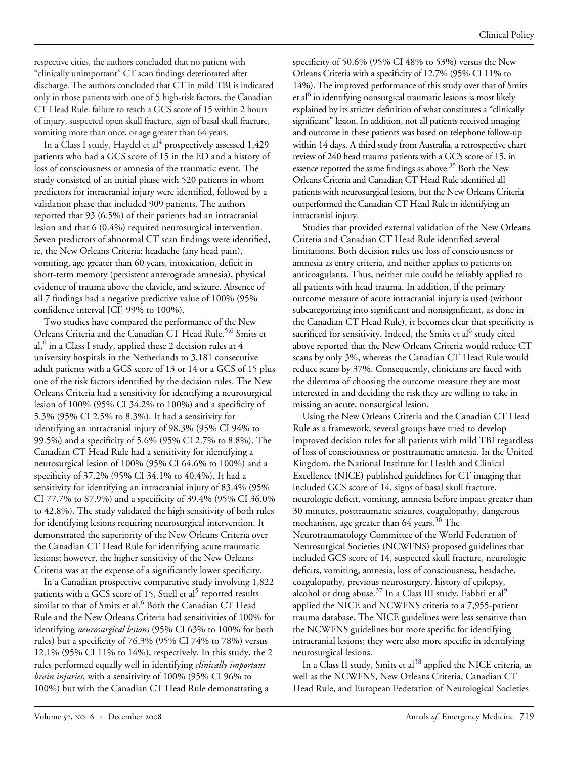respective cities, the authors concluded that no patient with "clinically unimportant" CT scan findings deteriorated after discharge. The authors concluded that CT in mild TBI is indicated only in those patients with one of 5 high-risk factors, the Canadian CT Head Rule: failure to reach a GCS score of 15 within 2 hours of injury, suspected open skull fracture, sign of basal skull fracture, vomiting more than once, or age greater than 64 years.

In a Class I study, Haydel et al<sup>[4](#page-11-0)</sup> prospectively assessed  $1,429$ patients who had a GCS score of 15 in the ED and a history of loss of consciousness or amnesia of the traumatic event. The study consisted of an initial phase with 520 patients in whom predictors for intracranial injury were identified, followed by a validation phase that included 909 patients. The authors reported that 93 (6.5%) of their patients had an intracranial lesion and that 6 (0.4%) required neurosurgical intervention. Seven predictors of abnormal CT scan findings were identified, ie, the New Orleans Criteria: headache (any head pain), vomiting, age greater than 60 years, intoxication, deficit in short-term memory (persistent anterograde amnesia), physical evidence of trauma above the clavicle, and seizure. Absence of all 7 findings had a negative predictive value of 100% (95% confidence interval [CI] 99% to 100%).

Two studies have compared the performance of the New Orleans Criteria and the Canadian CT Head Rule.<sup>[5,6](#page-11-0)</sup> Smits et al,<sup>6</sup> in a Class I study, applied these 2 decision rules at  $4$ university hospitals in the Netherlands to 3,181 consecutive adult patients with a GCS score of 13 or 14 or a GCS of 15 plus one of the risk factors identified by the decision rules. The New Orleans Criteria had a sensitivity for identifying a neurosurgical lesion of 100% (95% CI 34.2% to 100%) and a specificity of 5.3% (95% CI 2.5% to 8.3%). It had a sensitivity for identifying an intracranial injury of 98.3% (95% CI 94% to 99.5%) and a specificity of 5.6% (95% CI 2.7% to 8.8%). The Canadian CT Head Rule had a sensitivity for identifying a neurosurgical lesion of 100% (95% CI 64.6% to 100%) and a specificity of 37.2% (95% CI 34.1% to 40.4%). It had a sensitivity for identifying an intracranial injury of 83.4% (95% CI 77.7% to 87.9%) and a specificity of 39.4% (95% CI 36.0% to 42.8%). The study validated the high sensitivity of both rules for identifying lesions requiring neurosurgical intervention. It demonstrated the superiority of the New Orleans Criteria over the Canadian CT Head Rule for identifying acute traumatic lesions; however, the higher sensitivity of the New Orleans Criteria was at the expense of a significantly lower specificity.

In a Canadian prospective comparative study involving 1,822 patients with a GCS score of 1[5](#page-11-0), Stiell et al<sup>5</sup> reported results similar to that of Smits et al.<sup>[6](#page-11-0)</sup> Both the Canadian CT Head Rule and the New Orleans Criteria had sensitivities of 100% for identifying *neurosurgical lesions* (95% CI 63% to 100% for both rules) but a specificity of 76.3% (95% CI 74% to 78%) versus 12.1% (95% CI 11% to 14%), respectively. In this study, the 2 rules performed equally well in identifying *clinically important brain injuries*, with a sensitivity of 100% (95% CI 96% to 100%) but with the Canadian CT Head Rule demonstrating a

specificity of 50.6% (95% CI 48% to 53%) versus the New Orleans Criteria with a specificity of 12.7% (95% CI 11% to 14%). The improved performance of this study over that of Smits  $et al<sup>6</sup>$  in identifying nonsurgical traumatic lesions is most likely explained by its stricter definition of what constitutes a "clinically significant" lesion. In addition, not all patients received imaging and outcome in these patients was based on telephone follow-up within 14 days. A third study from Australia, a retrospective chart review of 240 head trauma patients with a GCS score of 15, in essence reported the same findings as above.<sup>35</sup> Both the New Orleans Criteria and Canadian CT Head Rule identified all patients with neurosurgical lesions, but the New Orleans Criteria outperformed the Canadian CT Head Rule in identifying an intracranial injury.

Studies that provided external validation of the New Orleans Criteria and Canadian CT Head Rule identified several limitations. Both decision rules use loss of consciousness or amnesia as entry criteria, and neither applies to patients on anticoagulants. Thus, neither rule could be reliably applied to all patients with head trauma. In addition, if the primary outcome measure of acute intracranial injury is used (without subcategorizing into significant and nonsignificant, as done in the Canadian CT Head Rule), it becomes clear that specificity is sacrificed for sensitivity. Indeed, the Smits et al<sup>[6](#page-11-0)</sup> study cited above reported that the New Orleans Criteria would reduce CT scans by only 3%, whereas the Canadian CT Head Rule would reduce scans by 37%. Consequently, clinicians are faced with the dilemma of choosing the outcome measure they are most interested in and deciding the risk they are willing to take in missing an acute, nonsurgical lesion.

Using the New Orleans Criteria and the Canadian CT Head Rule as a framework, several groups have tried to develop improved decision rules for all patients with mild TBI regardless of loss of consciousness or posttraumatic amnesia. In the United Kingdom, the National Institute for Health and Clinical Excellence (NICE) published guidelines for CT imaging that included GCS score of 14, signs of basal skull fracture, neurologic deficit, vomiting, amnesia before impact greater than 30 minutes, posttraumatic seizures, coagulopathy, dangerous mechanism, age greater than 64 years.<sup>[36](#page-12-0)</sup> The Neurotraumatology Committee of the World Federation of Neurosurgical Societies (NCWFNS) proposed guidelines that included GCS score of 14, suspected skull fracture, neurologic deficits, vomiting, amnesia, loss of consciousness, headache, coagulopathy, previous neurosurgery, history of epilepsy, alcohol or drug abuse. $37$  In a Class III study, Fabbri et al<sup>[9](#page-11-0)</sup> applied the NICE and NCWFNS criteria to a 7,955-patient trauma database. The NICE guidelines were less sensitive than the NCWFNS guidelines but more specific for identifying intracranial lesions; they were also more specific in identifying neurosurgical lesions.

In a Class II study, Smits et al<sup>[38](#page-12-0)</sup> applied the NICE criteria, as well as the NCWFNS, New Orleans Criteria, Canadian CT Head Rule, and European Federation of Neurological Societies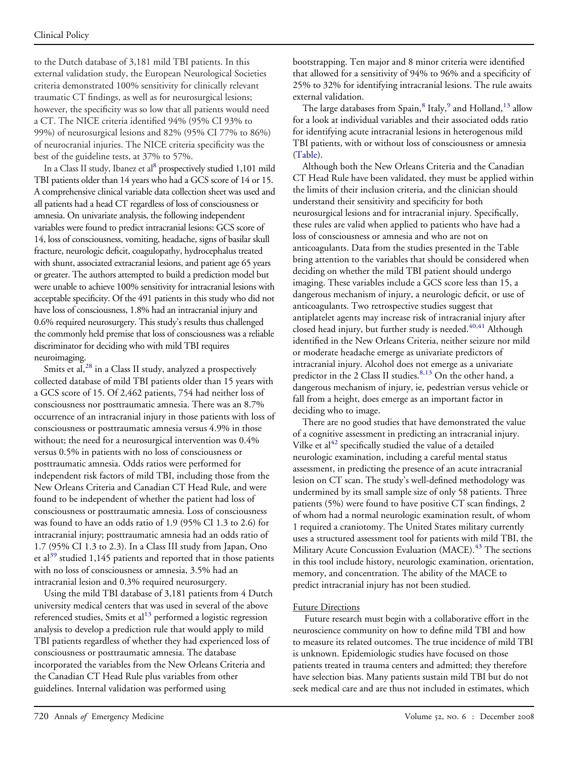to the Dutch database of 3,181 mild TBI patients. In this external validation study, the European Neurological Societies criteria demonstrated 100% sensitivity for clinically relevant traumatic CT findings, as well as for neurosurgical lesions; however, the specificity was so low that all patients would need a CT. The NICE criteria identified 94% (95% CI 93% to 99%) of neurosurgical lesions and 82% (95% CI 77% to 86%) of neurocranial injuries. The NICE criteria specificity was the best of the guideline tests, at 37% to 57%.

In a Class II study, Ibanez et al<sup>8</sup> prospectively studied 1,101 mild TBI patients older than 14 years who had a GCS score of 14 or 15. A comprehensive clinical variable data collection sheet was used and all patients had a head CT regardless of loss of consciousness or amnesia. On univariate analysis, the following independent variables were found to predict intracranial lesions: GCS score of 14, loss of consciousness, vomiting, headache, signs of basilar skull fracture, neurologic deficit, coagulopathy, hydrocephalus treated with shunt, associated extracranial lesions, and patient age 65 years or greater. The authors attempted to build a prediction model but were unable to achieve 100% sensitivity for intracranial lesions with acceptable specificity. Of the 491 patients in this study who did not have loss of consciousness, 1.8% had an intracranial injury and 0.6% required neurosurgery. This study's results thus challenged the commonly held premise that loss of consciousness was a reliable discriminator for deciding who with mild TBI requires neuroimaging.

Smits et al,<sup>[28](#page-12-0)</sup> in a Class II study, analyzed a prospectively collected database of mild TBI patients older than 15 years with a GCS score of 15. Of 2,462 patients, 754 had neither loss of consciousness nor posttraumatic amnesia. There was an 8.7% occurrence of an intracranial injury in those patients with loss of consciousness or posttraumatic amnesia versus 4.9% in those without; the need for a neurosurgical intervention was 0.4% versus 0.5% in patients with no loss of consciousness or posttraumatic amnesia. Odds ratios were performed for independent risk factors of mild TBI, including those from the New Orleans Criteria and Canadian CT Head Rule, and were found to be independent of whether the patient had loss of consciousness or posttraumatic amnesia. Loss of consciousness was found to have an odds ratio of 1.9 (95% CI 1.3 to 2.6) for intracranial injury; posttraumatic amnesia had an odds ratio of 1.7 (95% CI 1.3 to 2.3). In a Class III study from Japan, Ono et al<sup>[39](#page-12-0)</sup> studied 1,145 patients and reported that in those patients with no loss of consciousness or amnesia, 3.5% had an intracranial lesion and 0.3% required neurosurgery.

Using the mild TBI database of 3,181 patients from 4 Dutch university medical centers that was used in several of the above referenced studies, Smits et al $13$  performed a logistic regression analysis to develop a prediction rule that would apply to mild TBI patients regardless of whether they had experienced loss of consciousness or posttraumatic amnesia. The database incorporated the variables from the New Orleans Criteria and the Canadian CT Head Rule plus variables from other guidelines. Internal validation was performed using

bootstrapping. Ten major and 8 minor criteria were identified that allowed for a sensitivity of 94% to 96% and a specificity of 25% to 32% for identifying intracranial lesions. The rule awaits external validation.

The large databases from Spain,<sup>[8](#page-11-0)</sup> Italy,<sup>[9](#page-11-0)</sup> and Holland,<sup>[13](#page-11-0)</sup> allow for a look at individual variables and their associated odds ratio for identifying acute intracranial lesions in heterogenous mild TBI patients, with or without loss of consciousness or amnesia [\(Table\)](#page-7-0).

Although both the New Orleans Criteria and the Canadian CT Head Rule have been validated, they must be applied within the limits of their inclusion criteria, and the clinician should understand their sensitivity and specificity for both neurosurgical lesions and for intracranial injury. Specifically, these rules are valid when applied to patients who have had a loss of consciousness or amnesia and who are not on anticoagulants. Data from the studies presented in the Table bring attention to the variables that should be considered when deciding on whether the mild TBI patient should undergo imaging. These variables include a GCS score less than 15, a dangerous mechanism of injury, a neurologic deficit, or use of anticoagulants. Two retrospective studies suggest that antiplatelet agents may increase risk of intracranial injury after closed head injury, but further study is needed.<sup>[40,41](#page-12-0)</sup> Although identified in the New Orleans Criteria, neither seizure nor mild or moderate headache emerge as univariate predictors of intracranial injury. Alcohol does not emerge as a univariate predictor in the 2 Class II studies.<sup>[8,13](#page-11-0)</sup> On the other hand, a dangerous mechanism of injury, ie, pedestrian versus vehicle or fall from a height, does emerge as an important factor in deciding who to image.

There are no good studies that have demonstrated the value of a cognitive assessment in predicting an intracranial injury. Vilke et al<sup>[42](#page-12-0)</sup> specifically studied the value of a detailed neurologic examination, including a careful mental status assessment, in predicting the presence of an acute intracranial lesion on CT scan. The study's well-defined methodology was undermined by its small sample size of only 58 patients. Three patients (5%) were found to have positive CT scan findings, 2 of whom had a normal neurologic examination result, of whom 1 required a craniotomy. The United States military currently uses a structured assessment tool for patients with mild TBI, the Military Acute Concussion Evaluation (MACE).<sup>[43](#page-12-0)</sup> The sections in this tool include history, neurologic examination, orientation, memory, and concentration. The ability of the MACE to predict intracranial injury has not been studied.

### Future Directions

Future research must begin with a collaborative effort in the neuroscience community on how to define mild TBI and how to measure its related outcomes. The true incidence of mild TBI is unknown. Epidemiologic studies have focused on those patients treated in trauma centers and admitted; they therefore have selection bias. Many patients sustain mild TBI but do not seek medical care and are thus not included in estimates, which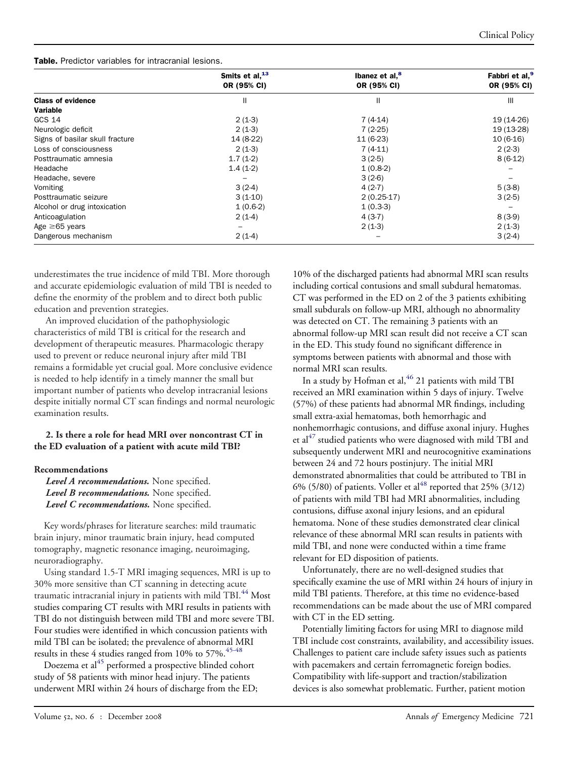<span id="page-7-0"></span>Table. Predictor variables for intracranial lesions.

|                                 | Smits et al, <sup>13</sup> | lbanez et al, <sup>8</sup> | Fabbri et al. <sup>9</sup> |
|---------------------------------|----------------------------|----------------------------|----------------------------|
|                                 | OR (95% CI)                | OR (95% CI)                | OR (95% CI)                |
| <b>Class of evidence</b>        | Ш                          | Ш                          | Ш                          |
| <b>Variable</b>                 |                            |                            |                            |
| GCS 14                          | $2(1-3)$                   | $7(4-14)$                  | 19 (14-26)                 |
| Neurologic deficit              | $2(1-3)$                   | $7(2-25)$                  | 19 (13-28)                 |
| Signs of basilar skull fracture | 14 (8-22)                  | $11(6-23)$                 | $10(6-16)$                 |
| Loss of consciousness           | $2(1-3)$                   | $7(4-11)$                  | $2(2-3)$                   |
| Posttraumatic amnesia           | $1.7(1-2)$                 | $3(2-5)$                   | $8(6-12)$                  |
| Headache                        | $1.4(1-2)$                 | $1(0.8-2)$                 |                            |
| Headache, severe                |                            | $3(2-6)$                   |                            |
| Vomiting                        | $3(2-4)$                   | $4(2-7)$                   | $5(3-8)$                   |
| Posttraumatic seizure           | $3(1-10)$                  | $2(0.25-17)$               | $3(2-5)$                   |
| Alcohol or drug intoxication    | $1(0.6-2)$                 | $1(0.3-3)$                 |                            |
| Anticoagulation                 | $2(1-4)$                   | $4(3-7)$                   | $8(3-9)$                   |
| Age $\geq 65$ years             |                            | $2(1-3)$                   | $2(1-3)$                   |
| Dangerous mechanism             | $2(1-4)$                   |                            | $3(2-4)$                   |

underestimates the true incidence of mild TBI. More thorough and accurate epidemiologic evaluation of mild TBI is needed to define the enormity of the problem and to direct both public education and prevention strategies.

An improved elucidation of the pathophysiologic characteristics of mild TBI is critical for the research and development of therapeutic measures. Pharmacologic therapy used to prevent or reduce neuronal injury after mild TBI remains a formidable yet crucial goal. More conclusive evidence is needed to help identify in a timely manner the small but important number of patients who develop intracranial lesions despite initially normal CT scan findings and normal neurologic examination results.

### **2. Is there a role for head MRI over noncontrast CT in the ED evaluation of a patient with acute mild TBI?**

### **Recommendations**

*Level A recommendations.* None specified. *Level B recommendations.* None specified. *Level C recommendations.* None specified.

Key words/phrases for literature searches: mild traumatic brain injury, minor traumatic brain injury, head computed tomography, magnetic resonance imaging, neuroimaging, neuroradiography.

Using standard 1.5-T MRI imaging sequences, MRI is up to 30% more sensitive than CT scanning in detecting acute traumatic intracranial injury in patients with mild TBI.<sup>[44](#page-12-0)</sup> Most studies comparing CT results with MRI results in patients with TBI do not distinguish between mild TBI and more severe TBI. Four studies were identified in which concussion patients with mild TBI can be isolated; the prevalence of abnormal MRI results in these 4 studies ranged from 10% to 57%. $45-48$ 

Doezema et al<sup>[45](#page-12-0)</sup> performed a prospective blinded cohort study of 58 patients with minor head injury. The patients underwent MRI within 24 hours of discharge from the ED; 10% of the discharged patients had abnormal MRI scan results including cortical contusions and small subdural hematomas. CT was performed in the ED on 2 of the 3 patients exhibiting small subdurals on follow-up MRI, although no abnormality was detected on CT. The remaining 3 patients with an abnormal follow-up MRI scan result did not receive a CT scan in the ED. This study found no significant difference in symptoms between patients with abnormal and those with normal MRI scan results.

In a study by Hofman et al,  $46$  21 patients with mild TBI received an MRI examination within 5 days of injury. Twelve (57%) of these patients had abnormal MR findings, including small extra-axial hematomas, both hemorrhagic and nonhemorrhagic contusions, and diffuse axonal injury. Hughes et al $47$  studied patients who were diagnosed with mild TBI and subsequently underwent MRI and neurocognitive examinations between 24 and 72 hours postinjury. The initial MRI demonstrated abnormalities that could be attributed to TBI in 6% (5/80) of patients. Voller et al<sup>[48](#page-12-0)</sup> reported that 25% (3/12) of patients with mild TBI had MRI abnormalities, including contusions, diffuse axonal injury lesions, and an epidural hematoma. None of these studies demonstrated clear clinical relevance of these abnormal MRI scan results in patients with mild TBI, and none were conducted within a time frame relevant for ED disposition of patients.

Unfortunately, there are no well-designed studies that specifically examine the use of MRI within 24 hours of injury in mild TBI patients. Therefore, at this time no evidence-based recommendations can be made about the use of MRI compared with CT in the ED setting.

Potentially limiting factors for using MRI to diagnose mild TBI include cost constraints, availability, and accessibility issues. Challenges to patient care include safety issues such as patients with pacemakers and certain ferromagnetic foreign bodies. Compatibility with life-support and traction/stabilization devices is also somewhat problematic. Further, patient motion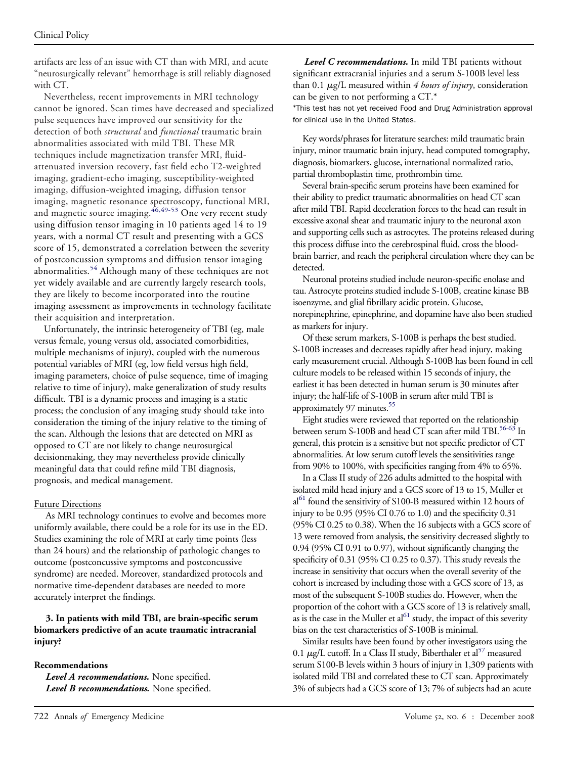artifacts are less of an issue with CT than with MRI, and acute "neurosurgically relevant" hemorrhage is still reliably diagnosed with CT.

Nevertheless, recent improvements in MRI technology cannot be ignored. Scan times have decreased and specialized pulse sequences have improved our sensitivity for the detection of both *structural* and *functional* traumatic brain abnormalities associated with mild TBI. These MR techniques include magnetization transfer MRI, fluidattenuated inversion recovery, fast field echo T2-weighted imaging, gradient-echo imaging, susceptibility-weighted imaging, diffusion-weighted imaging, diffusion tensor imaging, magnetic resonance spectroscopy, functional MRI, and magnetic source imaging. $46,49.53$  One very recent study using diffusion tensor imaging in 10 patients aged 14 to 19 years, with a normal CT result and presenting with a GCS score of 15, demonstrated a correlation between the severity of postconcussion symptoms and diffusion tensor imaging abnormalities.<sup>[54](#page-12-0)</sup> Although many of these techniques are not yet widely available and are currently largely research tools, they are likely to become incorporated into the routine imaging assessment as improvements in technology facilitate their acquisition and interpretation.

Unfortunately, the intrinsic heterogeneity of TBI (eg, male versus female, young versus old, associated comorbidities, multiple mechanisms of injury), coupled with the numerous potential variables of MRI (eg, low field versus high field, imaging parameters, choice of pulse sequence, time of imaging relative to time of injury), make generalization of study results difficult. TBI is a dynamic process and imaging is a static process; the conclusion of any imaging study should take into consideration the timing of the injury relative to the timing of the scan. Although the lesions that are detected on MRI as opposed to CT are not likely to change neurosurgical decisionmaking, they may nevertheless provide clinically meaningful data that could refine mild TBI diagnosis, prognosis, and medical management.

### Future Directions

As MRI technology continues to evolve and becomes more uniformly available, there could be a role for its use in the ED. Studies examining the role of MRI at early time points (less than 24 hours) and the relationship of pathologic changes to outcome (postconcussive symptoms and postconcussive syndrome) are needed. Moreover, standardized protocols and normative time-dependent databases are needed to more accurately interpret the findings.

**3. In patients with mild TBI, are brain-specific serum biomarkers predictive of an acute traumatic intracranial injury?**

### **Recommendations**

*Level A recommendations.* None specified. *Level B recommendations.* None specified.

*Level C recommendations.* In mild TBI patients without significant extracranial injuries and a serum S-100B level less than 0.1  $\mu$ g/L measured within *4 hours of injury*, consideration can be given to not performing a CT.\* \*This test has not yet received Food and Drug Administration approval for clinical use in the United States.

Key words/phrases for literature searches: mild traumatic brain injury, minor traumatic brain injury, head computed tomography, diagnosis, biomarkers, glucose, international normalized ratio, partial thromboplastin time, prothrombin time.

Several brain-specific serum proteins have been examined for their ability to predict traumatic abnormalities on head CT scan after mild TBI. Rapid deceleration forces to the head can result in excessive axonal shear and traumatic injury to the neuronal axon and supporting cells such as astrocytes. The proteins released during this process diffuse into the cerebrospinal fluid, cross the bloodbrain barrier, and reach the peripheral circulation where they can be detected.

Neuronal proteins studied include neuron-specific enolase and tau. Astrocyte proteins studied include S-100B, creatine kinase BB isoenzyme, and glial fibrillary acidic protein. Glucose, norepinephrine, epinephrine, and dopamine have also been studied as markers for injury.

Of these serum markers, S-100B is perhaps the best studied. S-100B increases and decreases rapidly after head injury, making early measurement crucial. Although S-100B has been found in cell culture models to be released within 15 seconds of injury, the earliest it has been detected in human serum is 30 minutes after injury; the half-life of S-100B in serum after mild TBI is approximately 97 minutes.<sup>55</sup>

Eight studies were reviewed that reported on the relationship between serum S-100B and head CT scan after mild TBI.<sup>56-63</sup> In general, this protein is a sensitive but not specific predictor of CT abnormalities. At low serum cutoff levels the sensitivities range from 90% to 100%, with specificities ranging from 4% to 65%.

In a Class II study of 226 adults admitted to the hospital with isolated mild head injury and a GCS score of 13 to 15, Muller et  $al<sup>61</sup>$  found the sensitivity of S100-B measured within 12 hours of injury to be 0.95 (95% CI 0.76 to 1.0) and the specificity 0.31 (95% CI 0.25 to 0.38). When the 16 subjects with a GCS score of 13 were removed from analysis, the sensitivity decreased slightly to 0.94 (95% CI 0.91 to 0.97), without significantly changing the specificity of 0.31 (95% CI 0.25 to 0.37). This study reveals the increase in sensitivity that occurs when the overall severity of the cohort is increased by including those with a GCS score of 13, as most of the subsequent S-100B studies do. However, when the proportion of the cohort with a GCS score of 13 is relatively small, as is the case in the Muller et  $al^{61}$  study, the impact of this severity bias on the test characteristics of S-100B is minimal.

Similar results have been found by other investigators using the 0.1  $\mu$ g/L cutoff. In a Class II study, Biberthaler et al<sup>57</sup> measured serum S100-B levels within 3 hours of injury in 1,309 patients with isolated mild TBI and correlated these to CT scan. Approximately 3% of subjects had a GCS score of 13; 7% of subjects had an acute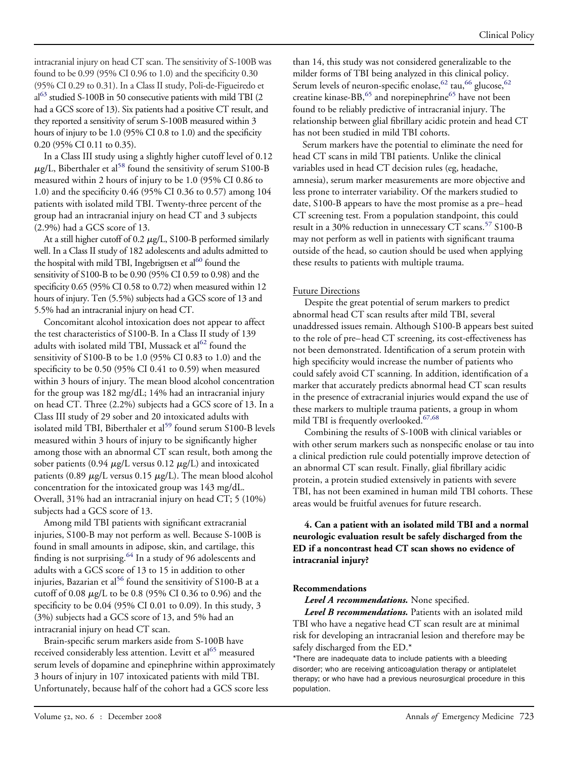intracranial injury on head CT scan. The sensitivity of S-100B was found to be 0.99 (95% CI 0.96 to 1.0) and the specificity 0.30 (95% CI 0.29 to 0.31). In a Class II study, Poli-de-Figueiredo et  $a^{163}$  studied S-100B in 50 consecutive patients with mild TBI (2) had a GCS score of 13). Six patients had a positive CT result, and they reported a sensitivity of serum S-100B measured within 3 hours of injury to be 1.0 (95% CI 0.8 to 1.0) and the specificity 0.20 (95% CI 0.11 to 0.35).

In a Class III study using a slightly higher cutoff level of 0.12  $\mu$ g/L, Biberthaler et al $^{58}$  $^{58}$  $^{58}$  found the sensitivity of serum S100-B measured within 2 hours of injury to be 1.0 (95% CI 0.86 to 1.0) and the specificity 0.46 (95% CI 0.36 to 0.57) among 104 patients with isolated mild TBI. Twenty-three percent of the group had an intracranial injury on head CT and 3 subjects (2.9%) had a GCS score of 13.

At a still higher cutoff of 0.2  $\mu$ g/L, S100-B performed similarly well. In a Class II study of 182 adolescents and adults admitted to the hospital with mild TBI, Ingebrigtsen et al $^{60}$  found the sensitivity of S100-B to be 0.90 (95% CI 0.59 to 0.98) and the specificity 0.65 (95% CI 0.58 to 0.72) when measured within 12 hours of injury. Ten (5.5%) subjects had a GCS score of 13 and 5.5% had an intracranial injury on head CT.

Concomitant alcohol intoxication does not appear to affect the test characteristics of S100-B. In a Class II study of 139 adults with isolated mild TBI, Mussack et al<sup>[62](#page-13-0)</sup> found the sensitivity of S100-B to be 1.0 (95% CI 0.83 to 1.0) and the specificity to be 0.50 (95% CI 0.41 to 0.59) when measured within 3 hours of injury. The mean blood alcohol concentration for the group was 182 mg/dL; 14% had an intracranial injury on head CT. Three (2.2%) subjects had a GCS score of 13. In a Class III study of 29 sober and 20 intoxicated adults with isolated mild TBI, Biberthaler et al<sup>[59](#page-12-0)</sup> found serum S100-B levels measured within 3 hours of injury to be significantly higher among those with an abnormal CT scan result, both among the sober patients (0.94  $\mu$ g/L versus 0.12  $\mu$ g/L) and intoxicated patients (0.89  $\mu$ g/L versus 0.15  $\mu$ g/L). The mean blood alcohol concentration for the intoxicated group was 143 mg/dL. Overall, 31% had an intracranial injury on head CT; 5 (10%) subjects had a GCS score of 13.

Among mild TBI patients with significant extracranial injuries, S100-B may not perform as well. Because S-100B is found in small amounts in adipose, skin, and cartilage, this finding is not surprising.<sup>[64](#page-13-0)</sup> In a study of 96 adolescents and adults with a GCS score of 13 to 15 in addition to other injuries, Bazarian et al<sup>[56](#page-12-0)</sup> found the sensitivity of S100-B at a cutoff of 0.08  $\mu$ g/L to be 0.8 (95% CI 0.36 to 0.96) and the specificity to be 0.04 (95% CI 0.01 to 0.09). In this study, 3 (3%) subjects had a GCS score of 13, and 5% had an intracranial injury on head CT scan.

Brain-specific serum markers aside from S-100B have received considerably less attention. Levitt et al<sup>[65](#page-13-0)</sup> measured serum levels of dopamine and epinephrine within approximately 3 hours of injury in 107 intoxicated patients with mild TBI. Unfortunately, because half of the cohort had a GCS score less

than 14, this study was not considered generalizable to the milder forms of TBI being analyzed in this clinical policy. Serum levels of neuron-specific enolase,<sup>[62](#page-13-0)</sup> tau,<sup>[66](#page-13-0)</sup> glucose,<sup>62</sup> creatine kinase-BB, $65$  and norepinephrine $65$  have not been found to be reliably predictive of intracranial injury. The relationship between glial fibrillary acidic protein and head CT has not been studied in mild TBI cohorts.

Serum markers have the potential to eliminate the need for head CT scans in mild TBI patients. Unlike the clinical variables used in head CT decision rules (eg, headache, amnesia), serum marker measurements are more objective and less prone to interrater variability. Of the markers studied to date, S100-B appears to have the most promise as a pre– head CT screening test. From a population standpoint, this could result in a 30% reduction in unnecessary CT scans.<sup>[57](#page-12-0)</sup> S100-B may not perform as well in patients with significant trauma outside of the head, so caution should be used when applying these results to patients with multiple trauma.

### Future Directions

Despite the great potential of serum markers to predict abnormal head CT scan results after mild TBI, several unaddressed issues remain. Although S100-B appears best suited to the role of pre– head CT screening, its cost-effectiveness has not been demonstrated. Identification of a serum protein with high specificity would increase the number of patients who could safely avoid CT scanning. In addition, identification of a marker that accurately predicts abnormal head CT scan results in the presence of extracranial injuries would expand the use of these markers to multiple trauma patients, a group in whom mild TBI is frequently overlooked.[67,68](#page-13-0)

Combining the results of S-100B with clinical variables or with other serum markers such as nonspecific enolase or tau into a clinical prediction rule could potentially improve detection of an abnormal CT scan result. Finally, glial fibrillary acidic protein, a protein studied extensively in patients with severe TBI, has not been examined in human mild TBI cohorts. These areas would be fruitful avenues for future research.

### **4. Can a patient with an isolated mild TBI and a normal neurologic evaluation result be safely discharged from the ED if a noncontrast head CT scan shows no evidence of intracranial injury?**

### **Recommendations**

*Level A recommendations.* None specified.

*Level B recommendations.* Patients with an isolated mild TBI who have a negative head CT scan result are at minimal risk for developing an intracranial lesion and therefore may be safely discharged from the ED.\*

\*There are inadequate data to include patients with a bleeding disorder; who are receiving anticoagulation therapy or antiplatelet therapy; or who have had a previous neurosurgical procedure in this population.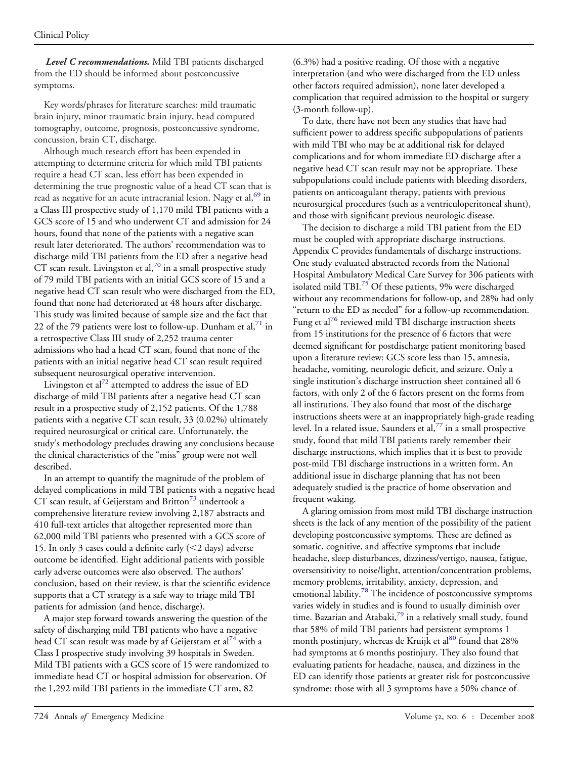*Level C recommendations.* Mild TBI patients discharged from the ED should be informed about postconcussive symptoms.

Key words/phrases for literature searches: mild traumatic brain injury, minor traumatic brain injury, head computed tomography, outcome, prognosis, postconcussive syndrome, concussion, brain CT, discharge.

Although much research effort has been expended in attempting to determine criteria for which mild TBI patients require a head CT scan, less effort has been expended in determining the true prognostic value of a head CT scan that is read as negative for an acute intracranial lesion. Nagy et al,  $69$  in a Class III prospective study of 1,170 mild TBI patients with a GCS score of 15 and who underwent CT and admission for 24 hours, found that none of the patients with a negative scan result later deteriorated. The authors' recommendation was to discharge mild TBI patients from the ED after a negative head  $CT$  scan result. Livingston et al,<sup>[70](#page-13-0)</sup> in a small prospective study of 79 mild TBI patients with an initial GCS score of 15 and a negative head CT scan result who were discharged from the ED, found that none had deteriorated at 48 hours after discharge. This study was limited because of sample size and the fact that 22 of the 79 patients were lost to follow-up. Dunham et al,  $71$  in a retrospective Class III study of 2,252 trauma center admissions who had a head CT scan, found that none of the patients with an initial negative head CT scan result required subsequent neurosurgical operative intervention.

Livingston et al<sup>[72](#page-13-0)</sup> attempted to address the issue of ED discharge of mild TBI patients after a negative head CT scan result in a prospective study of 2,152 patients. Of the 1,788 patients with a negative CT scan result, 33 (0.02%) ultimately required neurosurgical or critical care. Unfortunately, the study's methodology precludes drawing any conclusions because the clinical characteristics of the "miss" group were not well described.

In an attempt to quantify the magnitude of the problem of delayed complications in mild TBI patients with a negative head CT scan result, af Geijerstam and Britton<sup>[73](#page-13-0)</sup> undertook a comprehensive literature review involving 2,187 abstracts and 410 full-text articles that altogether represented more than 62,000 mild TBI patients who presented with a GCS score of 15. In only 3 cases could a definite early  $(<$ 2 days) adverse outcome be identified. Eight additional patients with possible early adverse outcomes were also observed. The authors' conclusion, based on their review, is that the scientific evidence supports that a CT strategy is a safe way to triage mild TBI patients for admission (and hence, discharge).

A major step forward towards answering the question of the safety of discharging mild TBI patients who have a negative head CT scan result was made by af Geijerstam et al<sup>[74](#page-13-0)</sup> with a Class I prospective study involving 39 hospitals in Sweden. Mild TBI patients with a GCS score of 15 were randomized to immediate head CT or hospital admission for observation. Of the 1,292 mild TBI patients in the immediate CT arm, 82

(6.3%) had a positive reading. Of those with a negative interpretation (and who were discharged from the ED unless other factors required admission), none later developed a complication that required admission to the hospital or surgery (3-month follow-up).

To date, there have not been any studies that have had sufficient power to address specific subpopulations of patients with mild TBI who may be at additional risk for delayed complications and for whom immediate ED discharge after a negative head CT scan result may not be appropriate. These subpopulations could include patients with bleeding disorders, patients on anticoagulant therapy, patients with previous neurosurgical procedures (such as a ventriculoperitoneal shunt), and those with significant previous neurologic disease.

The decision to discharge a mild TBI patient from the ED must be coupled with appropriate discharge instructions. Appendix C provides fundamentals of discharge instructions. One study evaluated abstracted records from the National Hospital Ambulatory Medical Care Survey for 306 patients with isolated mild TBI.<sup>[75](#page-13-0)</sup> Of these patients, 9% were discharged without any recommendations for follow-up, and 28% had only "return to the ED as needed" for a follow-up recommendation. Fung et al<sup>[76](#page-13-0)</sup> reviewed mild TBI discharge instruction sheets from 15 institutions for the presence of 6 factors that were deemed significant for postdischarge patient monitoring based upon a literature review: GCS score less than 15, amnesia, headache, vomiting, neurologic deficit, and seizure. Only a single institution's discharge instruction sheet contained all 6 factors, with only 2 of the 6 factors present on the forms from all institutions. They also found that most of the discharge instructions sheets were at an inappropriately high-grade reading level. In a related issue, Saunders et al,<sup>[77](#page-13-0)</sup> in a small prospective study, found that mild TBI patients rarely remember their discharge instructions, which implies that it is best to provide post-mild TBI discharge instructions in a written form. An additional issue in discharge planning that has not been adequately studied is the practice of home observation and frequent waking.

A glaring omission from most mild TBI discharge instruction sheets is the lack of any mention of the possibility of the patient developing postconcussive symptoms. These are defined as somatic, cognitive, and affective symptoms that include headache, sleep disturbances, dizziness/vertigo, nausea, fatigue, oversensitivity to noise/light, attention/concentration problems, memory problems, irritability, anxiety, depression, and emotional lability.[78](#page-13-0) The incidence of postconcussive symptoms varies widely in studies and is found to usually diminish over time. Bazarian and Atabaki, $^{79}$  $^{79}$  $^{79}$  in a relatively small study, found that 58% of mild TBI patients had persistent symptoms 1 month postinjury, whereas de Kruijk et al<sup>[80](#page-13-0)</sup> found that 28% had symptoms at 6 months postinjury. They also found that evaluating patients for headache, nausea, and dizziness in the ED can identify those patients at greater risk for postconcussive syndrome: those with all 3 symptoms have a 50% chance of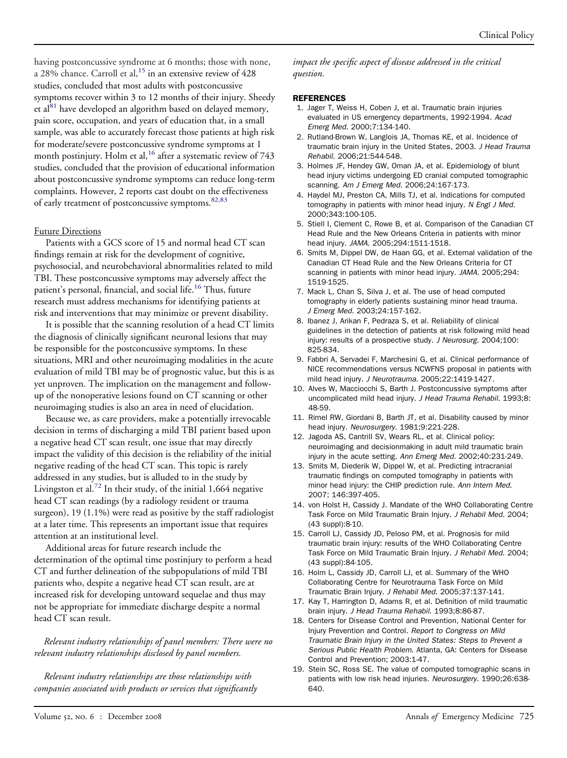<span id="page-11-0"></span>having postconcussive syndrome at 6 months; those with none, a 28% chance. Carroll et al,<sup>15</sup> in an extensive review of  $428$ studies, concluded that most adults with postconcussive symptoms recover within 3 to 12 months of their injury. Sheedy et al $^{81}$  $^{81}$  $^{81}$  have developed an algorithm based on delayed memory, pain score, occupation, and years of education that, in a small sample, was able to accurately forecast those patients at high risk for moderate/severe postconcussive syndrome symptoms at 1 month postinjury. Holm et al,  $^{16}$  after a systematic review of 743 studies, concluded that the provision of educational information about postconcussive syndrome symptoms can reduce long-term complaints. However, 2 reports cast doubt on the effectiveness of early treatment of postconcussive symptoms.<sup>[82,83](#page-13-0)</sup>

### Future Directions

Patients with a GCS score of 15 and normal head CT scan findings remain at risk for the development of cognitive, psychosocial, and neurobehavioral abnormalities related to mild TBI. These postconcussive symptoms may adversely affect the patient's personal, financial, and social life.<sup>16</sup> Thus, future research must address mechanisms for identifying patients at risk and interventions that may minimize or prevent disability.

It is possible that the scanning resolution of a head CT limits the diagnosis of clinically significant neuronal lesions that may be responsible for the postconcussive symptoms. In these situations, MRI and other neuroimaging modalities in the acute evaluation of mild TBI may be of prognostic value, but this is as yet unproven. The implication on the management and followup of the nonoperative lesions found on CT scanning or other neuroimaging studies is also an area in need of elucidation.

Because we, as care providers, make a potentially irrevocable decision in terms of discharging a mild TBI patient based upon a negative head CT scan result, one issue that may directly impact the validity of this decision is the reliability of the initial negative reading of the head CT scan. This topic is rarely addressed in any studies, but is alluded to in the study by Livingston et al.<sup>[72](#page-13-0)</sup> In their study, of the initial 1,664 negative head CT scan readings (by a radiology resident or trauma surgeon), 19 (1.1%) were read as positive by the staff radiologist at a later time. This represents an important issue that requires attention at an institutional level.

Additional areas for future research include the determination of the optimal time postinjury to perform a head CT and further delineation of the subpopulations of mild TBI patients who, despite a negative head CT scan result, are at increased risk for developing untoward sequelae and thus may not be appropriate for immediate discharge despite a normal head CT scan result.

*Relevant industry relationships of panel members: There were no relevant industry relationships disclosed by panel members.*

*Relevant industry relationships are those relationships with companies associated with products or services that significantly* *impact the specific aspect of disease addressed in the critical question.*

### REFERENCES

- 1. Jager T, Weiss H, Coben J, et al. Traumatic brain injuries evaluated in US emergency departments, 1992-1994. *Acad Emerg Med.* 2000;7:134-140.
- 2. Rutland-Brown W, Langlois JA, Thomas KE, et al. Incidence of traumatic brain injury in the United States, 2003. *J Head Trauma Rehabil.* 2006;21:544-548.
- 3. Holmes JF, Hendey GW, Oman JA, et al. Epidemiology of blunt head injury victims undergoing ED cranial computed tomographic scanning. *Am J Emerg Med.* 2006;24:167-173.
- 4. Haydel MJ, Preston CA, Mills TJ, et al. Indications for computed tomography in patients with minor head injury. *N Engl J Med.* 2000;343:100-105.
- 5. Stiell I, Clement C, Rowe B, et al. Comparison of the Canadian CT Head Rule and the New Orleans Criteria in patients with minor head injury. *JAMA.* 2005;294:1511-1518.
- 6. Smits M, Dippel DW, de Haan GG, et al. External validation of the Canadian CT Head Rule and the New Orleans Criteria for CT scanning in patients with minor head injury. *JAMA.* 2005;294: 1519-1525.
- 7. Mack L, Chan S, Silva J, et al. The use of head computed tomography in elderly patients sustaining minor head trauma. *J Emerg Med.* 2003;24:157-162.
- 8. Ibanez J, Arikan F, Pedraza S, et al. Reliability of clinical guidelines in the detection of patients at risk following mild head injury: results of a prospective study. *J Neurosurg.* 2004;100: 825-834.
- 9. Fabbri A, Servadei F, Marchesini G, et al. Clinical performance of NICE recommendations versus NCWFNS proposal in patients with mild head injury. *J Neurotrauma.* 2005;22:1419-1427.
- 10. Alves W, Macciocchi S, Barth J. Postconcussive symptoms after uncomplicated mild head injury. *J Head Trauma Rehabil.* 1993;8: 48-59.
- 11. Rimel RW, Giordani B, Barth JT, et al. Disability caused by minor head injury. *Neurosurgery.* 1981;9:221-228.
- 12. Jagoda AS, Cantrill SV, Wears RL, et al. Clinical policy: neuroimaging and decisionmaking in adult mild traumatic brain injury in the acute setting. *Ann Emerg Med.* 2002;40:231-249.
- 13. Smits M, Diederik W, Dippel W, et al. Predicting intracranial traumatic findings on computed tomography in patients with minor head injury: the CHIP prediction rule. *Ann Intern Med.* 2007; 146:397-405.
- 14. von Holst H, Cassidy J. Mandate of the WHO Collaborating Centre Task Force on Mild Traumatic Brain Injury. *J Rehabil Med.* 2004; (43 suppl):8-10.
- 15. Carroll LJ, Cassidy JD, Peloso PM, et al. Prognosis for mild traumatic brain injury: results of the WHO Collaborating Centre Task Force on Mild Traumatic Brain Injury. *J Rehabil Med.* 2004; (43 suppl):84-105.
- 16. Holm L, Cassidy JD, Carroll LJ, et al. Summary of the WHO Collaborating Centre for Neurotrauma Task Force on Mild Traumatic Brain Injury. *J Rehabil Med.* 2005;37:137-141.
- 17. Kay T, Harrington D, Adams R, et al. Definition of mild traumatic brain injury. *J Head Trauma Rehabil.* 1993;8:86-87.
- 18. Centers for Disease Control and Prevention, National Center for Injury Prevention and Control. *Report to Congress on Mild Traumatic Brain Injury in the United States: Steps to Prevent a Serious Public Health Problem*. Atlanta, GA: Centers for Disease Control and Prevention; 2003:1-47.
- 19. Stein SC, Ross SE. The value of computed tomographic scans in patients with low risk head injuries. *Neurosurgery.* 1990;26:638- 640.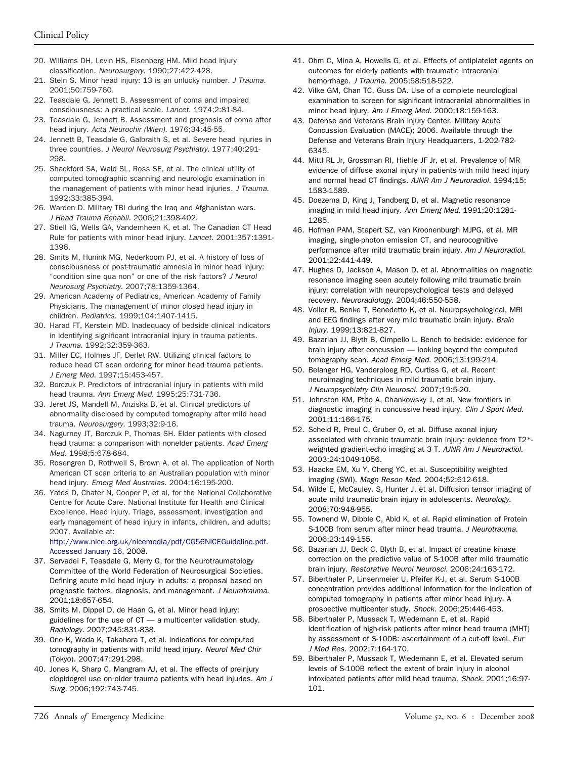- <span id="page-12-0"></span>20. Williams DH, Levin HS, Eisenberg HM. Mild head injury classification. *Neurosurgery.* 1990;27:422-428.
- 21. Stein S. Minor head injury: 13 is an unlucky number. *J Trauma.* 2001;50:759-760.
- 22. Teasdale G, Jennett B. Assessment of coma and impaired consciousness: a practical scale. *Lancet.* 1974;2:81-84.
- 23. Teasdale G, Jennett B. Assessment and prognosis of coma after head injury. *Acta Neurochir (Wien).* 1976;34:45-55.
- 24. Jennett B, Teasdale G, Galbraith S, et al. Severe head injuries in three countries. *J Neurol Neurosurg Psychiatry.* 1977;40:291- 298.
- 25. Shackford SA, Wald SL, Ross SE, et al. The clinical utility of computed tomographic scanning and neurologic examination in the management of patients with minor head injuries. *J Trauma.* 1992;33:385-394.
- 26. Warden D. Military TBI during the Iraq and Afghanistan wars. *J Head Trauma Rehabil.* 2006;21:398-402.
- 27. Stiell IG, Wells GA, Vandemheen K, et al. The Canadian CT Head Rule for patients with minor head injury. *Lancet.* 2001;357:1391- 1396.
- 28. Smits M, Hunink MG, Nederkoorn PJ, et al. A history of loss of consciousness or post-traumatic amnesia in minor head injury: "condition sine qua non" or one of the risk factors? *J Neurol Neurosurg Psychiatry.* 2007;78:1359-1364.
- 29. American Academy of Pediatrics, American Academy of Family Physicians. The management of minor closed head injury in children. *Pediatrics.* 1999;104:1407-1415.
- 30. Harad FT, Kerstein MD. Inadequacy of bedside clinical indicators in identifying significant intracranial injury in trauma patients. *J Trauma.* 1992;32:359-363.
- 31. Miller EC, Holmes JF, Derlet RW. Utilizing clinical factors to reduce head CT scan ordering for minor head trauma patients. *J Emerg Med.* 1997;15:453-457.
- 32. Borczuk P. Predictors of intracranial injury in patients with mild head trauma. *Ann Emerg Med.* 1995;25:731-736.
- 33. Jeret JS, Mandell M, Anziska B, et al. Clinical predictors of abnormality disclosed by computed tomography after mild head trauma. *Neurosurgery.* 1993;32:9-16.
- 34. Nagurney JT, Borczuk P, Thomas SH. Elder patients with closed head trauma: a comparison with nonelder patients. *Acad Emerg Med.* 1998;5:678-684.
- 35. Rosengren D, Rothwell S, Brown A, et al. The application of North American CT scan criteria to an Australian population with minor head injury. *Emerg Med Australas.* 2004;16:195-200.
- 36. Yates D, Chater N, Cooper P, et al, for the National Collaborative Centre for Acute Care. National Institute for Health and Clinical Excellence. Head injury. Triage, assessment, investigation and early management of head injury in infants, children, and adults; 2007. Available at:

#### [http://www.nice.org.uk/nicemedia/pdf/CG56NICEGuideline.pdf.](http://www.nice.org.uk/nicemedia/pdf/CG56NICEGuideline.pdf) [Accessed January 16,](http://www.nice.org.uk/nicemedia/pdf/CG56NICEGuideline.pdf) 2008.

- 37. Servadei F, Teasdale G, Merry G, for the Neurotraumatology Committee of the World Federation of Neurosurgical Societies. Defining acute mild head injury in adults: a proposal based on prognostic factors, diagnosis, and management. *J Neurotrauma.* 2001;18:657-654.
- 38. Smits M, Dippel D, de Haan G, et al. Minor head injury: guidelines for the use of CT — a multicenter validation study. *Radiology.* 2007;245:831-838.
- 39. Ono K, Wada K, Takahara T, et al. Indications for computed tomography in patients with mild head injury. *Neurol Med Chir* (Tokyo). 2007;47:291-298.
- 40. Jones K, Sharp C, Mangram AJ, et al. The effects of preinjury clopidogrel use on older trauma patients with head injuries. *Am J Surg.* 2006;192:743-745.
- 41. Ohm C, Mina A, Howells G, et al. Effects of antiplatelet agents on outcomes for elderly patients with traumatic intracranial hemorrhage. *J Trauma.* 2005;58:518-522.
- 42. Vilke GM, Chan TC, Guss DA. Use of a complete neurological examination to screen for significant intracranial abnormalities in minor head injury. *Am J Emerg Med.* 2000;18:159-163.
- 43. Defense and Veterans Brain Injury Center. Military Acute Concussion Evaluation (MACE); 2006. Available through the Defense and Veterans Brain Injury Headquarters, 1-202-782- 6345.
- 44. Mittl RL Jr, Grossman RI, Hiehle JF Jr, et al. Prevalence of MR evidence of diffuse axonal injury in patients with mild head injury and normal head CT findings. *AJNR Am J Neuroradiol.* 1994;15: 1583-1589.
- 45. Doezema D, King J, Tandberg D, et al. Magnetic resonance imaging in mild head injury. *Ann Emerg Med.* 1991;20:1281- 1285.
- 46. Hofman PAM, Stapert SZ, van Kroonenburgh MJPG, et al. MR imaging, single-photon emission CT, and neurocognitive performance after mild traumatic brain injury. *Am J Neuroradiol.* 2001;22:441-449.
- 47. Hughes D, Jackson A, Mason D, et al. Abnormalities on magnetic resonance imaging seen acutely following mild traumatic brain injury: correlation with neuropsychological tests and delayed recovery. *Neuroradiology.* 2004;46:550-558.
- 48. Voller B, Benke T, Benedetto K, et al. Neuropsychological, MRI and EEG findings after very mild traumatic brain injury. *Brain Injury.* 1999;13:821-827.
- 49. Bazarian JJ, Blyth B, Cimpello L. Bench to bedside: evidence for brain injury after concussion — looking beyond the computed tomography scan. *Acad Emerg Med.* 2006;13:199-214.
- 50. Belanger HG, Vanderploeg RD, Curtiss G, et al. Recent neuroimaging techniques in mild traumatic brain injury. *J Neuropsychiatry Clin Neurosci.* 2007;19:5-20.
- 51. Johnston KM, Ptito A, Chankowsky J, et al. New frontiers in diagnostic imaging in concussive head injury. *Clin J Sport Med.* 2001;11:166-175.
- 52. Scheid R, Preul C, Gruber O, et al. Diffuse axonal injury associated with chronic traumatic brain injury: evidence from T2\* weighted gradient-echo imaging at 3 T. *AJNR Am J Neuroradiol.* 2003;24:1049-1056.
- 53. Haacke EM, Xu Y, Cheng YC, et al. Susceptibility weighted imaging (SWI). *Magn Reson Med.* 2004;52:612-618.
- 54. Wilde E, McCauley, S, Hunter J, et al. Diffusion tensor imaging of acute mild traumatic brain injury in adolescents. *Neurology.* 2008;70:948-955.
- 55. Townend W, Dibble C, Abid K, et al. Rapid elimination of Protein S-100B from serum after minor head trauma. *J Neurotrauma.* 2006;23:149-155.
- 56. Bazarian JJ, Beck C, Blyth B, et al. Impact of creatine kinase correction on the predictive value of S-100B after mild traumatic brain injury. *Restorative Neurol Neurosci.* 2006;24:163-172.
- 57. Biberthaler P, Linsenmeier U, Pfeifer K-J, et al. Serum S-100B concentration provides additional information for the indication of computed tomography in patients after minor head injury. A prospective multicenter study. *Shock.* 2006;25:446-453.
- 58. Biberthaler P, Mussack T, Wiedemann E, et al. Rapid identification of high-risk patients after minor head trauma (MHT) by assessment of S-100B: ascertainment of a cut-off level. *Eur J Med Res.* 2002;7:164-170.
- 59. Biberthaler P, Mussack T, Wiedemann E, et al. Elevated serum levels of S-100B reflect the extent of brain injury in alcohol intoxicated patients after mild head trauma. *Shock.* 2001;16:97- 101.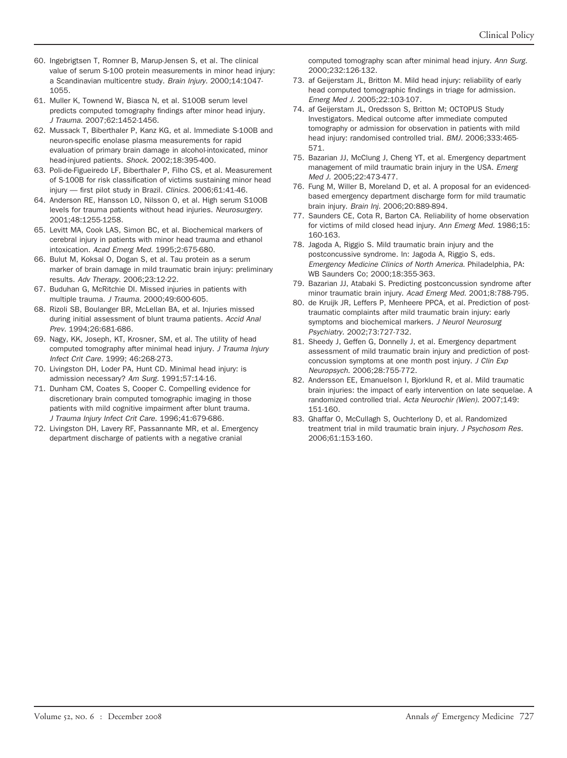- <span id="page-13-0"></span>60. Ingebrigtsen T, Romner B, Marup-Jensen S, et al. The clinical value of serum S-100 protein measurements in minor head injury: a Scandinavian multicentre study. *Brain Injury.* 2000;14:1047- 1055.
- 61. Muller K, Townend W, Biasca N, et al. S100B serum level predicts computed tomography findings after minor head injury. *J Trauma.* 2007;62:1452-1456.
- 62. Mussack T, Biberthaler P, Kanz KG, et al. Immediate S-100B and neuron-specific enolase plasma measurements for rapid evaluation of primary brain damage in alcohol-intoxicated, minor head-injured patients. *Shock.* 2002;18:395-400.
- 63. Poli-de-Figueiredo LF, Biberthaler P, Filho CS, et al. Measurement of S-100B for risk classification of victims sustaining minor head injury — first pilot study in Brazil. *Clinics.* 2006;61:41-46.
- 64. Anderson RE, Hansson LO, Nilsson O, et al. High serum S100B levels for trauma patients without head injuries. *Neurosurgery.* 2001;48:1255-1258.
- 65. Levitt MA, Cook LAS, Simon BC, et al. Biochemical markers of cerebral injury in patients with minor head trauma and ethanol intoxication. *Acad Emerg Med.* 1995;2:675-680.
- 66. Bulut M, Koksal O, Dogan S, et al. Tau protein as a serum marker of brain damage in mild traumatic brain injury: preliminary results. *Adv Therapy.* 2006;23:12-22.
- 67. Buduhan G, McRitchie DI. Missed injuries in patients with multiple trauma. *J Trauma.* 2000;49:600-605.
- 68. Rizoli SB, Boulanger BR, McLellan BA, et al. Injuries missed during initial assessment of blunt trauma patients. *Accid Anal Prev.* 1994;26:681-686.
- 69. Nagy, KK, Joseph, KT, Krosner, SM, et al. The utility of head computed tomography after minimal head injury. *J Trauma Injury Infect Crit Care.* 1999; 46:268-273.
- 70. Livingston DH, Loder PA, Hunt CD. Minimal head injury: is admission necessary? *Am Surg.* 1991;57:14-16.
- 71. Dunham CM, Coates S, Cooper C. Compelling evidence for discretionary brain computed tomographic imaging in those patients with mild cognitive impairment after blunt trauma. *J Trauma Injury Infect Crit Care.* 1996;41:679-686.
- 72. Livingston DH, Lavery RF, Passannante MR, et al. Emergency department discharge of patients with a negative cranial

computed tomography scan after minimal head injury. *Ann Surg.* 2000;232:126-132.

- 73. af Geijerstam JL, Britton M. Mild head injury: reliability of early head computed tomographic findings in triage for admission. *Emerg Med J.* 2005;22:103-107.
- 74. af Geijerstam JL, Oredsson S, Britton M; OCTOPUS Study Investigators. Medical outcome after immediate computed tomography or admission for observation in patients with mild head injury: randomised controlled trial. *BMJ.* 2006;333:465- 571.
- 75. Bazarian JJ, McClung J, Cheng YT, et al. Emergency department management of mild traumatic brain injury in the USA. *Emerg Med J.* 2005;22:473-477.
- 76. Fung M, Willer B, Moreland D, et al. A proposal for an evidencedbased emergency department discharge form for mild traumatic brain injury. *Brain Inj.* 2006;20:889-894.
- 77. Saunders CE, Cota R, Barton CA. Reliability of home observation for victims of mild closed head injury. *Ann Emerg Med.* 1986;15: 160-163.
- 78. Jagoda A, Riggio S. Mild traumatic brain injury and the postconcussive syndrome. In: Jagoda A, Riggio S, eds. *Emergency Medicine Clinics of North America.* Philadelphia, PA: WB Saunders Co; 2000;18:355-363.
- 79. Bazarian JJ, Atabaki S. Predicting postconcussion syndrome after minor traumatic brain injury. *Acad Emerg Med.* 2001;8:788-795.
- 80. de Kruijk JR, Leffers P, Menheere PPCA, et al. Prediction of posttraumatic complaints after mild traumatic brain injury: early symptoms and biochemical markers. *J Neurol Neurosurg Psychiatry.* 2002;73:727-732.
- 81. Sheedy J, Geffen G, Donnelly J, et al. Emergency department assessment of mild traumatic brain injury and prediction of postconcussion symptoms at one month post injury. *J Clin Exp Neuropsych.* 2006;28:755-772.
- 82. Andersson EE, Emanuelson I, Bjorklund R, et al. Mild traumatic brain injuries: the impact of early intervention on late sequelae. A randomized controlled trial. *Acta Neurochir (Wien)*. 2007;149: 151-160.
- 83. Ghaffar O, McCullagh S, Ouchterlony D, et al. Randomized treatment trial in mild traumatic brain injury. *J Psychosom Res.* 2006;61:153-160.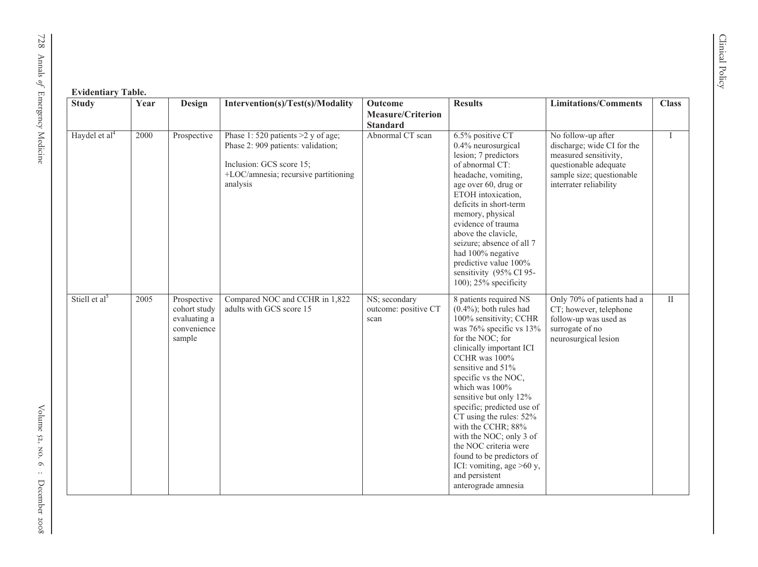## **Evidentiary Table.**

| <b>Study</b>              | Year | Design                                                               | Intervention(s)/Test(s)/Modality                                                                                                                           | <b>Outcome</b><br><b>Measure/Criterion</b><br><b>Standard</b> | <b>Results</b>                                                                                                                                                                                                                                                                                                                                                                                                                                                                                              | <b>Limitations/Comments</b>                                                                                                                               | <b>Class</b> |
|---------------------------|------|----------------------------------------------------------------------|------------------------------------------------------------------------------------------------------------------------------------------------------------|---------------------------------------------------------------|-------------------------------------------------------------------------------------------------------------------------------------------------------------------------------------------------------------------------------------------------------------------------------------------------------------------------------------------------------------------------------------------------------------------------------------------------------------------------------------------------------------|-----------------------------------------------------------------------------------------------------------------------------------------------------------|--------------|
| Haydel et al <sup>4</sup> | 2000 | Prospective                                                          | Phase 1: 520 patients $>2$ y of age;<br>Phase 2: 909 patients: validation;<br>Inclusion: GCS score 15;<br>+LOC/amnesia; recursive partitioning<br>analysis | Abnormal CT scan                                              | 6.5% positive CT<br>0.4% neurosurgical<br>lesion; 7 predictors<br>of abnormal CT:<br>headache, vomiting,<br>age over 60, drug or<br>ETOH intoxication,<br>deficits in short-term<br>memory, physical<br>evidence of trauma<br>above the clavicle,<br>seizure; absence of all 7<br>had 100% negative<br>predictive value 100%<br>sensitivity (95% CI 95-<br>100); $25\%$ specificity                                                                                                                         | No follow-up after<br>discharge; wide CI for the<br>measured sensitivity,<br>questionable adequate<br>sample size; questionable<br>interrater reliability | $\mathbf{I}$ |
| Stiell et al <sup>5</sup> | 2005 | Prospective<br>cohort study<br>evaluating a<br>convenience<br>sample | Compared NOC and CCHR in 1,822<br>adults with GCS score 15                                                                                                 | NS; secondary<br>outcome: positive CT<br>scan                 | 8 patients required NS<br>$(0.4\%)$ ; both rules had<br>100% sensitivity; CCHR<br>was 76% specific vs 13%<br>for the NOC; for<br>clinically important ICI<br>CCHR was 100%<br>sensitive and 51%<br>specific vs the NOC,<br>which was 100%<br>sensitive but only 12%<br>specific; predicted use of<br>CT using the rules: 52%<br>with the CCHR; 88%<br>with the NOC; only 3 of<br>the NOC criteria were<br>found to be predictors of<br>ICI: vomiting, age $>60$ y,<br>and persistent<br>anterograde amnesia | Only 70% of patients had a<br>CT; however, telephone<br>follow-up was used as<br>surrogate of no<br>neurosurgical lesion                                  | $\mathbf{I}$ |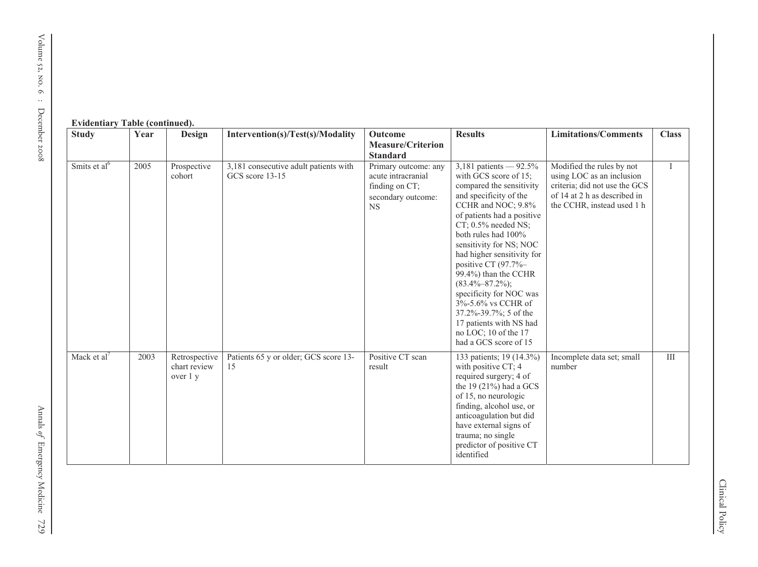| <b>EVIGENTIALY 1 ADIC (CONTINUED).</b><br><b>Study</b> | Year | Design                                    | Intervention(s)/Test(s)/Modality                         | <b>Outcome</b><br><b>Measure/Criterion</b>                                                      | <b>Results</b>                                                                                                                                                                                                                                                                                                                                                                                                                                                                                       | <b>Limitations/Comments</b>                                                                                                                           | <b>Class</b> |
|--------------------------------------------------------|------|-------------------------------------------|----------------------------------------------------------|-------------------------------------------------------------------------------------------------|------------------------------------------------------------------------------------------------------------------------------------------------------------------------------------------------------------------------------------------------------------------------------------------------------------------------------------------------------------------------------------------------------------------------------------------------------------------------------------------------------|-------------------------------------------------------------------------------------------------------------------------------------------------------|--------------|
|                                                        |      |                                           |                                                          | <b>Standard</b>                                                                                 |                                                                                                                                                                                                                                                                                                                                                                                                                                                                                                      |                                                                                                                                                       |              |
| Smits et al <sup>6</sup>                               | 2005 | Prospective<br>cohort                     | 3,181 consecutive adult patients with<br>GCS score 13-15 | Primary outcome: any<br>acute intracranial<br>finding on CT;<br>secondary outcome:<br><b>NS</b> | 3,181 patients - 92.5%<br>with GCS score of 15;<br>compared the sensitivity<br>and specificity of the<br>CCHR and NOC; 9.8%<br>of patients had a positive<br>CT; $0.5\%$ needed NS;<br>both rules had 100%<br>sensitivity for NS; NOC<br>had higher sensitivity for<br>positive CT $(97.7% -$<br>99.4%) than the CCHR<br>$(83.4\% - 87.2\%)$ ;<br>specificity for NOC was<br>3%-5.6% vs CCHR of<br>37.2%-39.7%; 5 of the<br>17 patients with NS had<br>no LOC; 10 of the 17<br>had a GCS score of 15 | Modified the rules by not<br>using LOC as an inclusion<br>criteria; did not use the GCS<br>of 14 at 2 h as described in<br>the CCHR, instead used 1 h |              |
| Mack et $al7$                                          | 2003 | Retrospective<br>chart review<br>over 1 y | Patients 65 y or older; GCS score 13-<br>15              | Positive CT scan<br>result                                                                      | 133 patients; 19 (14.3%)<br>with positive CT; 4<br>required surgery; 4 of<br>the 19 $(21%)$ had a GCS<br>of 15, no neurologic<br>finding, alcohol use, or<br>anticoagulation but did<br>have external signs of<br>trauma; no single<br>predictor of positive CT<br>identified                                                                                                                                                                                                                        | Incomplete data set; small<br>number                                                                                                                  | III          |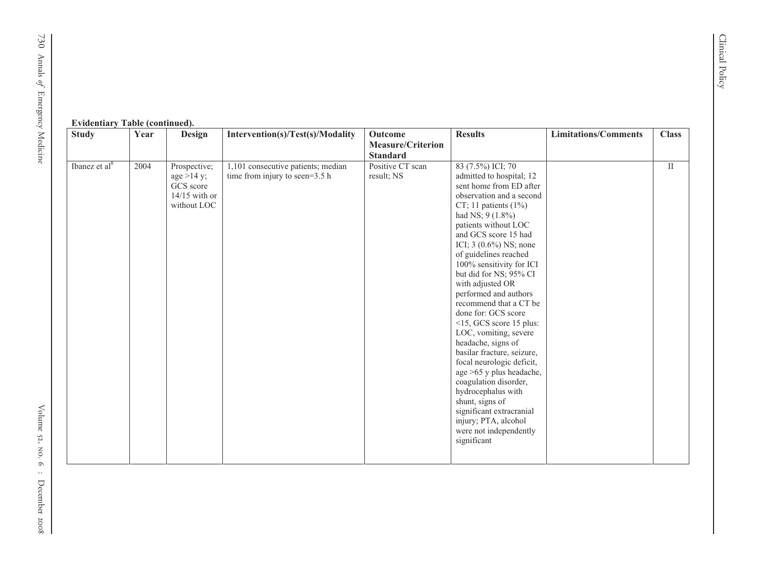II

#### **Study Year Design Intervention(s)/Test(s)/Modality Outcome Measure/Criterion Standard Results Limitations/Comments Class**Ibanez et al<sup>8</sup> 2004 Prospective; age  $>14$  y; GCS score 14/15 with or without LOC 1,101 consecutive patients; median time from injury to seen=3.5 h Positive CT scan result; NS 83 (7.5%) ICI; 70 admitted to hospital; 12 sent home from ED after observation and a second CT; 11 patients  $(1\%)$ had NS; 9 (1.8%) patients without LOC and GCS score 15 had ICI; 3 (0.6%) NS; none of guidelines reached 100% sensitivity for ICI but did for NS; 95% CI with adjusted OR performed and authors recommend that a CT be done for: GCS score <15, GCS score 15 plus: LOC, vomiting, severe headache, signs of basilar fracture, seizure, focal neurologic deficit, age >65 y plus headache, coagulation disorder, hydrocephalus with shunt, signs of significant extracranial injury; PTA, alcohol were not independently significant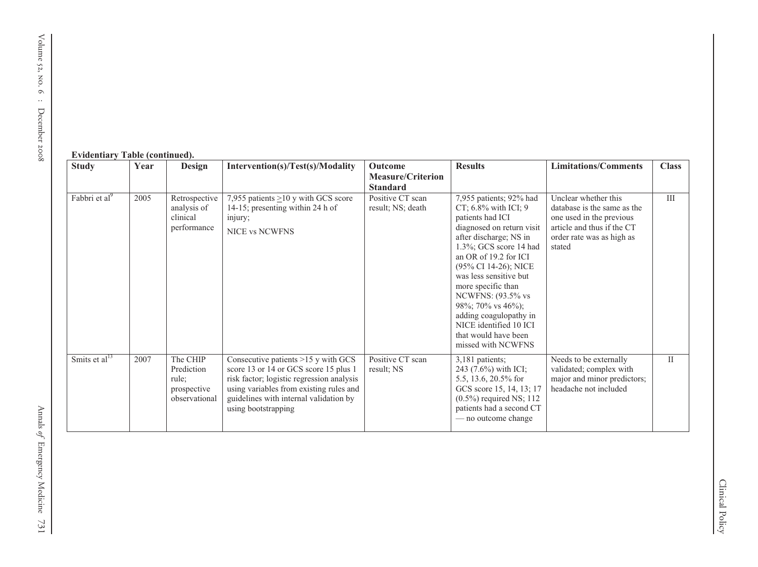| <b>Study</b>              | Year | <b>Design</b>                                                   | Intervention(s)/Test(s)/Modality                                                                                                                                                                                                      | <b>Outcome</b><br><b>Measure/Criterion</b><br><b>Standard</b> | <b>Results</b>                                                                                                                                                                                                                                                                                                                                                                                           | <b>Limitations/Comments</b>                                                                                                                          | <b>Class</b> |
|---------------------------|------|-----------------------------------------------------------------|---------------------------------------------------------------------------------------------------------------------------------------------------------------------------------------------------------------------------------------|---------------------------------------------------------------|----------------------------------------------------------------------------------------------------------------------------------------------------------------------------------------------------------------------------------------------------------------------------------------------------------------------------------------------------------------------------------------------------------|------------------------------------------------------------------------------------------------------------------------------------------------------|--------------|
| Fabbri et al <sup>9</sup> | 2005 | Retrospective<br>analysis of<br>clinical<br>performance         | 7,955 patients $\geq$ 10 y with GCS score<br>14-15; presenting within 24 h of<br>injury;<br><b>NICE vs NCWFNS</b>                                                                                                                     | Positive CT scan<br>result; NS; death                         | 7,955 patients; 92% had<br>CT; $6.8\%$ with ICI; 9<br>patients had ICI<br>diagnosed on return visit<br>after discharge; NS in<br>$1.3\%$ ; GCS score 14 had<br>an OR of 19.2 for ICI<br>(95% CI 14-26); NICE<br>was less sensitive but<br>more specific than<br>NCWFNS: (93.5% vs<br>98%; 70% vs 46%);<br>adding coagulopathy in<br>NICE identified 10 ICI<br>that would have been<br>missed with NCWFNS | Unclear whether this<br>database is the same as the<br>one used in the previous<br>article and thus if the CT<br>order rate was as high as<br>stated | III          |
| Smits et al <sup>13</sup> | 2007 | The CHIP<br>Prediction<br>rule:<br>prospective<br>observational | Consecutive patients >15 y with GCS<br>score 13 or 14 or GCS score 15 plus 1<br>risk factor; logistic regression analysis<br>using variables from existing rules and<br>guidelines with internal validation by<br>using bootstrapping | Positive CT scan<br>result; NS                                | 3,181 patients;<br>243 (7.6%) with ICI;<br>5.5, 13.6, 20.5% for<br>GCS score 15, 14, 13; 17<br>$(0.5\%)$ required NS; 112<br>patients had a second CT                                                                                                                                                                                                                                                    | Needs to be externally<br>validated; complex with<br>major and minor predictors;<br>headache not included                                            | $\mathbf{H}$ |

— no outcome change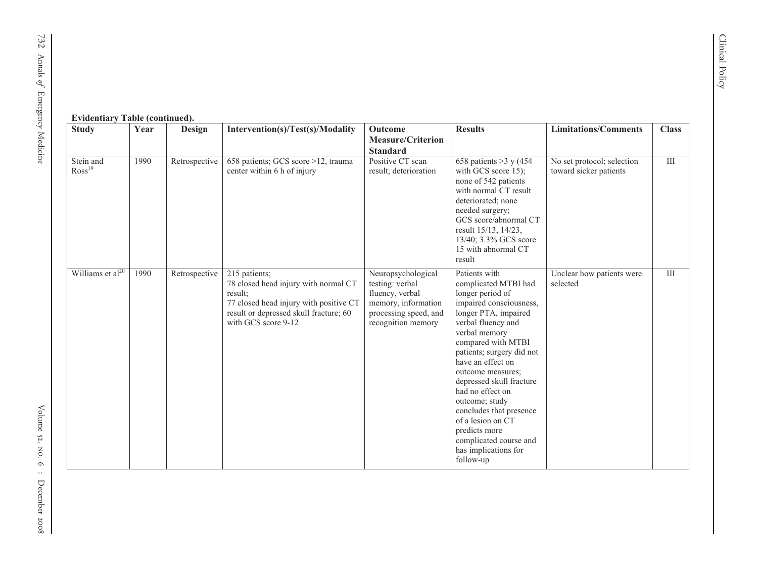| <b>Study</b>                    | Year | Design        | Intervention(s)/Test(s)/Modality                                                                                                                                            | <b>Outcome</b><br><b>Measure/Criterion</b><br><b>Standard</b>                                                                  | <b>Results</b>                                                                                                                                                                                                                                                                                                                                                                                                                                     | <b>Limitations/Comments</b>                          | <b>Class</b> |
|---------------------------------|------|---------------|-----------------------------------------------------------------------------------------------------------------------------------------------------------------------------|--------------------------------------------------------------------------------------------------------------------------------|----------------------------------------------------------------------------------------------------------------------------------------------------------------------------------------------------------------------------------------------------------------------------------------------------------------------------------------------------------------------------------------------------------------------------------------------------|------------------------------------------------------|--------------|
| Stein and<br>Ross <sup>19</sup> | 1990 | Retrospective | 658 patients; GCS score >12, trauma<br>center within 6 h of injury                                                                                                          | Positive CT scan<br>result; deterioration                                                                                      | 658 patients $>3$ y (454)<br>with GCS score 15);<br>none of 542 patients<br>with normal CT result<br>deteriorated; none<br>needed surgery;<br>GCS score/abnormal CT<br>result 15/13, 14/23,<br>13/40; 3.3% GCS score<br>15 with abnormal CT<br>result                                                                                                                                                                                              | No set protocol; selection<br>toward sicker patients | III          |
| Williams et $al20$              | 1990 | Retrospective | 215 patients;<br>78 closed head injury with normal CT<br>result;<br>77 closed head injury with positive CT<br>result or depressed skull fracture; 60<br>with GCS score 9-12 | Neuropsychological<br>testing: verbal<br>fluency, verbal<br>memory, information<br>processing speed, and<br>recognition memory | Patients with<br>complicated MTBI had<br>longer period of<br>impaired consciousness,<br>longer PTA, impaired<br>verbal fluency and<br>verbal memory<br>compared with MTBI<br>patients; surgery did not<br>have an effect on<br>outcome measures;<br>depressed skull fracture<br>had no effect on<br>outcome; study<br>concludes that presence<br>of a lesion on CT<br>predicts more<br>complicated course and<br>has implications for<br>follow-up | Unclear how patients were<br>selected                | III          |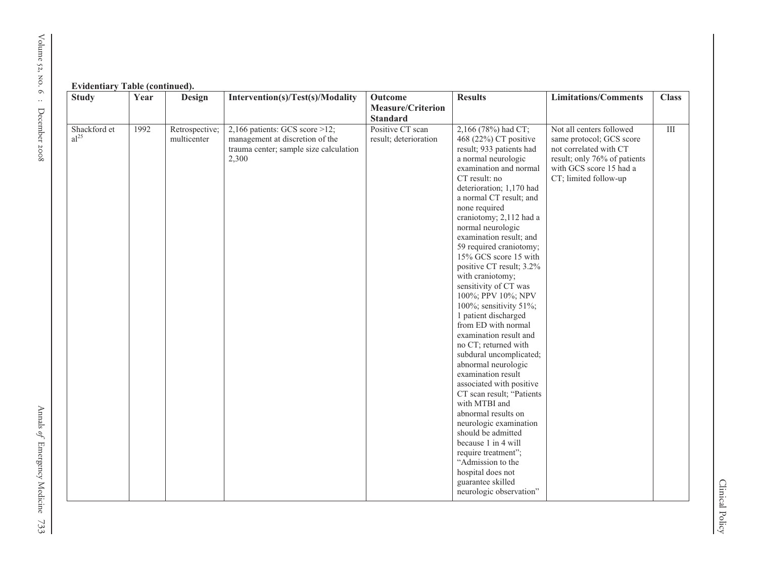| <b>Study</b>                     | Year | Design                        | Intervention(s)/Test(s)/Modality                                                                                     | <b>Outcome</b><br>Measure/Criterion<br><b>Standard</b> | <b>Results</b>                                                                                                                                                                                                                                                                                                                                                                                                                                                                                                                                                                                                                                                                                                                                                                                                                                                                                                                               | <b>Limitations/Comments</b>                                                                                                                                        | <b>Class</b>     |
|----------------------------------|------|-------------------------------|----------------------------------------------------------------------------------------------------------------------|--------------------------------------------------------|----------------------------------------------------------------------------------------------------------------------------------------------------------------------------------------------------------------------------------------------------------------------------------------------------------------------------------------------------------------------------------------------------------------------------------------------------------------------------------------------------------------------------------------------------------------------------------------------------------------------------------------------------------------------------------------------------------------------------------------------------------------------------------------------------------------------------------------------------------------------------------------------------------------------------------------------|--------------------------------------------------------------------------------------------------------------------------------------------------------------------|------------------|
| Shackford et<br>al <sup>25</sup> | 1992 | Retrospective;<br>multicenter | 2,166 patients: GCS score >12;<br>management at discretion of the<br>trauma center; sample size calculation<br>2,300 | Positive CT scan<br>result; deterioration              | 2,166 (78%) had CT;<br>468 (22%) CT positive<br>result; 933 patients had<br>a normal neurologic<br>examination and normal<br>CT result: no<br>deterioration; 1,170 had<br>a normal CT result; and<br>none required<br>craniotomy; 2,112 had a<br>normal neurologic<br>examination result; and<br>59 required craniotomy;<br>15% GCS score 15 with<br>positive CT result; 3.2%<br>with craniotomy;<br>sensitivity of CT was<br>100%; PPV 10%; NPV<br>100%; sensitivity 51%;<br>1 patient discharged<br>from ED with normal<br>examination result and<br>no CT; returned with<br>subdural uncomplicated;<br>abnormal neurologic<br>examination result<br>associated with positive<br>CT scan result; "Patients<br>with MTBI and<br>abnormal results on<br>neurologic examination<br>should be admitted<br>because 1 in 4 will<br>require treatment";<br>"Admission to the<br>hospital does not<br>guarantee skilled<br>neurologic observation" | Not all centers followed<br>same protocol; GCS score<br>not correlated with CT<br>result; only 76% of patients<br>with GCS score 15 had a<br>CT; limited follow-up | $\overline{III}$ |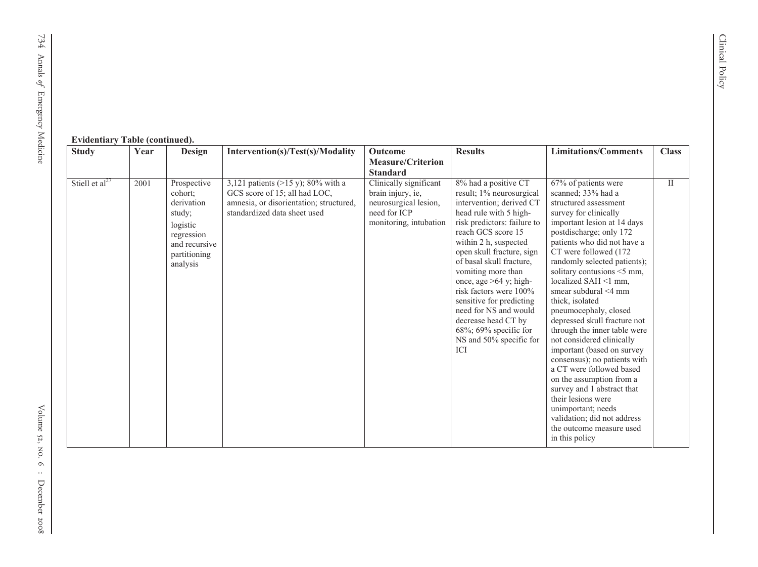**Class** 

**Results Limitations/Comments** 

|   | Ŵ<br>I |
|---|--------|
| t | ¢      |

#### **Evidentiary Table (continued).**<br> **Study Year Design Intervention(s)/Test(s)/Modality Outcome Standard** Stiell et al<sup>27</sup> 2001 Prospective cohort; derivation study; logistic regression 3,121 patients (>15 y); 80% with a GCS score of 15; all had LOC, amnesia, or disorientation; structured, standardized data sheet used

|                            |      |                                                                                                                       |                                                                                                                                                | <b>Measure/Criterion</b>                                                                                       |                                                                                                                                                                                                                                                                                                                                                                                                                                                                         |                                                                                                                                                                                                                                                                                                                                                                                                                                                                                                                                                                                                                                                                                                                                                           |              |
|----------------------------|------|-----------------------------------------------------------------------------------------------------------------------|------------------------------------------------------------------------------------------------------------------------------------------------|----------------------------------------------------------------------------------------------------------------|-------------------------------------------------------------------------------------------------------------------------------------------------------------------------------------------------------------------------------------------------------------------------------------------------------------------------------------------------------------------------------------------------------------------------------------------------------------------------|-----------------------------------------------------------------------------------------------------------------------------------------------------------------------------------------------------------------------------------------------------------------------------------------------------------------------------------------------------------------------------------------------------------------------------------------------------------------------------------------------------------------------------------------------------------------------------------------------------------------------------------------------------------------------------------------------------------------------------------------------------------|--------------|
|                            |      |                                                                                                                       |                                                                                                                                                | <b>Standard</b>                                                                                                |                                                                                                                                                                                                                                                                                                                                                                                                                                                                         |                                                                                                                                                                                                                                                                                                                                                                                                                                                                                                                                                                                                                                                                                                                                                           |              |
| Stiell et al <sup>27</sup> | 2001 | Prospective<br>cohort;<br>derivation<br>study;<br>logistic<br>regression<br>and recursive<br>partitioning<br>analysis | 3,121 patients (>15 y); 80% with a<br>GCS score of 15; all had LOC,<br>amnesia, or disorientation; structured,<br>standardized data sheet used | Clinically significant<br>brain injury, ie,<br>neurosurgical lesion,<br>need for ICP<br>monitoring, intubation | 8% had a positive CT<br>result; 1% neurosurgical<br>intervention; derived CT<br>head rule with 5 high-<br>risk predictors: failure to<br>reach GCS score 15<br>within 2 h, suspected<br>open skull fracture, sign<br>of basal skull fracture,<br>vomiting more than<br>once, age $>64$ y; high-<br>risk factors were 100%<br>sensitive for predicting<br>need for NS and would<br>decrease head CT by<br>$68\%$ ; $69\%$ specific for<br>NS and 50% specific for<br>ICI | 67% of patients were<br>scanned; 33% had a<br>structured assessment<br>survey for clinically<br>important lesion at 14 days<br>postdischarge; only 172<br>patients who did not have a<br>CT were followed (172)<br>randomly selected patients);<br>solitary contusions <5 mm,<br>localized SAH <1 mm,<br>smear subdural $\leq 4$ mm<br>thick, isolated<br>pneumocephaly, closed<br>depressed skull fracture not<br>through the inner table were<br>not considered clinically<br>important (based on survey<br>consensus); no patients with<br>a CT were followed based<br>on the assumption from a<br>survey and 1 abstract that<br>their lesions were<br>unimportant; needs<br>validation; did not address<br>the outcome measure used<br>in this policy | $\mathbf{I}$ |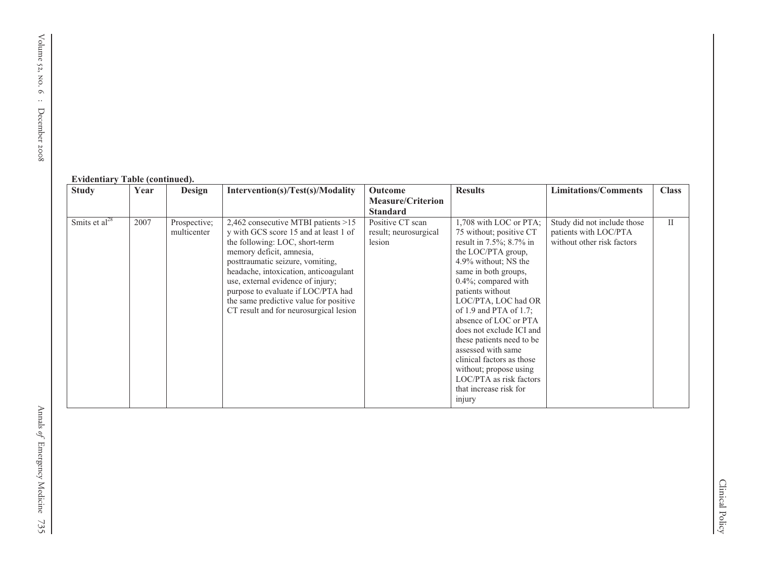| Evidentiary Table (continued). |      |                             |                                                                                                                                                                                                                                                                                                                                                                                        |                                                     |                                                                                                                                                                                                                                                                                                                                                                                                                                                                                         |                                                                                    |              |
|--------------------------------|------|-----------------------------|----------------------------------------------------------------------------------------------------------------------------------------------------------------------------------------------------------------------------------------------------------------------------------------------------------------------------------------------------------------------------------------|-----------------------------------------------------|-----------------------------------------------------------------------------------------------------------------------------------------------------------------------------------------------------------------------------------------------------------------------------------------------------------------------------------------------------------------------------------------------------------------------------------------------------------------------------------------|------------------------------------------------------------------------------------|--------------|
| <b>Study</b>                   | Year | Design                      | Intervention(s)/Test(s)/Modality                                                                                                                                                                                                                                                                                                                                                       | <b>Outcome</b><br><b>Measure/Criterion</b>          | <b>Results</b>                                                                                                                                                                                                                                                                                                                                                                                                                                                                          | <b>Limitations/Comments</b>                                                        | <b>Class</b> |
|                                |      |                             |                                                                                                                                                                                                                                                                                                                                                                                        | <b>Standard</b>                                     |                                                                                                                                                                                                                                                                                                                                                                                                                                                                                         |                                                                                    |              |
| Smits et $al^{28}$             | 2007 | Prospective;<br>multicenter | 2,462 consecutive MTBI patients >15<br>y with GCS score 15 and at least 1 of<br>the following: LOC, short-term<br>memory deficit, amnesia,<br>posttraumatic seizure, vomiting,<br>headache, intoxication, anticoagulant<br>use, external evidence of injury;<br>purpose to evaluate if LOC/PTA had<br>the same predictive value for positive<br>CT result and for neurosurgical lesion | Positive CT scan<br>result; neurosurgical<br>lesion | 1,708 with LOC or PTA;<br>75 without; positive CT<br>result in $7.5\%$ ; $8.7\%$ in<br>the LOC/PTA group,<br>4.9% without; NS the<br>same in both groups,<br>$0.4\%$ ; compared with<br>patients without<br>LOC/PTA, LOC had OR<br>of 1.9 and PTA of 1.7:<br>absence of LOC or PTA<br>does not exclude ICI and<br>these patients need to be<br>assessed with same<br>clinical factors as those<br>without; propose using<br>LOC/PTA as risk factors<br>that increase risk for<br>injury | Study did not include those<br>patients with LOC/PTA<br>without other risk factors | $\mathbf{H}$ |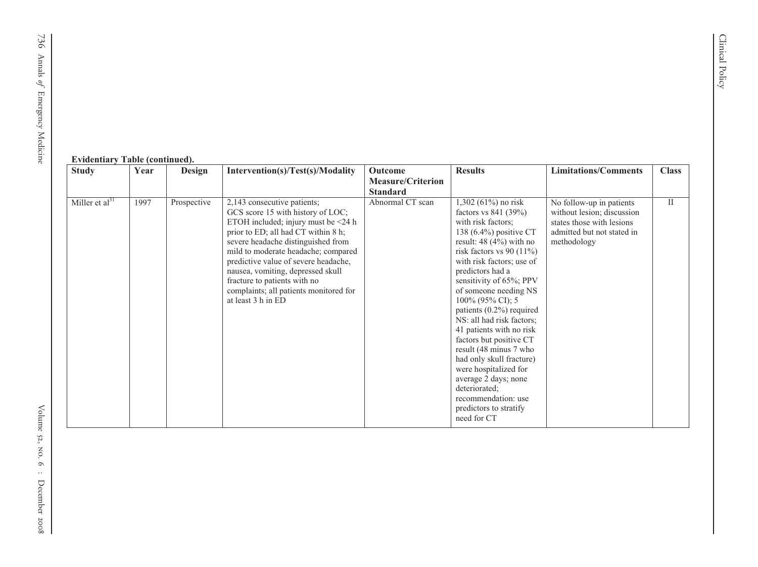| <b>Study</b>                  | Year | Design      | Intervention(s)/Test(s)/Modality                                                                                                                                                                                                                                                                                                                                                                         | <b>Outcome</b><br><b>Measure/Criterion</b> | <b>Results</b>                                                                                                                                                                                                                                                                                                                                                                                                                                                                                                                                                                                  | <b>Limitations/Comments</b>                                                                                                      | <b>Class</b> |
|-------------------------------|------|-------------|----------------------------------------------------------------------------------------------------------------------------------------------------------------------------------------------------------------------------------------------------------------------------------------------------------------------------------------------------------------------------------------------------------|--------------------------------------------|-------------------------------------------------------------------------------------------------------------------------------------------------------------------------------------------------------------------------------------------------------------------------------------------------------------------------------------------------------------------------------------------------------------------------------------------------------------------------------------------------------------------------------------------------------------------------------------------------|----------------------------------------------------------------------------------------------------------------------------------|--------------|
| Miller et $a^{\overline{3}1}$ | 1997 | Prospective | 2,143 consecutive patients;<br>GCS score 15 with history of LOC;<br>ETOH included; injury must be <24 h<br>prior to ED; all had CT within 8 h;<br>severe headache distinguished from<br>mild to moderate headache; compared<br>predictive value of severe headache,<br>nausea, vomiting, depressed skull<br>fracture to patients with no<br>complaints; all patients monitored for<br>at least 3 h in ED | <b>Standard</b><br>Abnormal CT scan        | 1,302 (61%) no risk<br>factors vs $841$ (39%)<br>with risk factors;<br>138 $(6.4\%)$ positive CT<br>result: $48(4%)$ with no<br>risk factors vs 90 $(11\%)$<br>with risk factors; use of<br>predictors had a<br>sensitivity of 65%; PPV<br>of someone needing NS<br>100% (95% CI); 5<br>patients $(0.2\%)$ required<br>NS: all had risk factors;<br>41 patients with no risk<br>factors but positive CT<br>result (48 minus 7 who<br>had only skull fracture)<br>were hospitalized for<br>average 2 days; none<br>deteriorated;<br>recommendation: use<br>predictors to stratify<br>need for CT | No follow-up in patients<br>without lesion; discussion<br>states those with lesions<br>admitted but not stated in<br>methodology | $\mathbf{I}$ |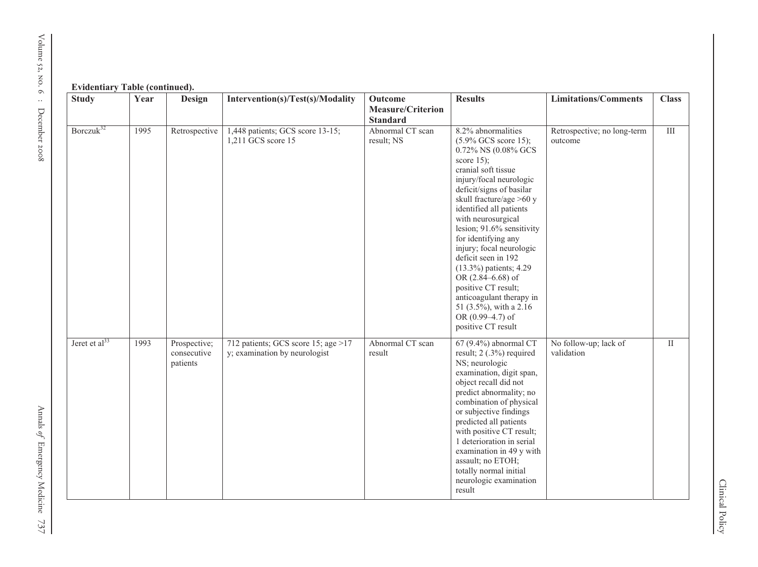| <b>Study</b>              | Year | Design                                  | Intervention(s)/Test(s)/Modality                                     | <b>Outcome</b><br><b>Measure/Criterion</b><br><b>Standard</b> | <b>Results</b>                                                                                                                                                                                                                                                                                                                                                                                                                                                                                                                   | <b>Limitations/Comments</b>            | <b>Class</b> |
|---------------------------|------|-----------------------------------------|----------------------------------------------------------------------|---------------------------------------------------------------|----------------------------------------------------------------------------------------------------------------------------------------------------------------------------------------------------------------------------------------------------------------------------------------------------------------------------------------------------------------------------------------------------------------------------------------------------------------------------------------------------------------------------------|----------------------------------------|--------------|
| Borczuk <sup>32</sup>     | 1995 | Retrospective                           | 1,448 patients; GCS score 13-15;<br>1,211 GCS score 15               | Abnormal CT scan<br>result; NS                                | 8.2% abnormalities<br>$(5.9\%$ GCS score 15);<br>0.72% NS (0.08% GCS<br>score $15$ ;<br>cranial soft tissue<br>injury/focal neurologic<br>deficit/signs of basilar<br>skull fracture/age >60 y<br>identified all patients<br>with neurosurgical<br>lesion; 91.6% sensitivity<br>for identifying any<br>injury; focal neurologic<br>deficit seen in 192<br>(13.3%) patients; 4.29<br>OR $(2.84 - 6.68)$ of<br>positive CT result;<br>anticoagulant therapy in<br>51 (3.5%), with a 2.16<br>OR (0.99-4.7) of<br>positive CT result | Retrospective; no long-term<br>outcome | $\rm III$    |
| Jeret et al <sup>33</sup> | 1993 | Prospective;<br>consecutive<br>patients | 712 patients; GCS score 15; age >17<br>y; examination by neurologist | Abnormal CT scan<br>result                                    | 67 (9.4%) abnormal CT<br>result; 2 (.3%) required<br>NS; neurologic<br>examination, digit span,<br>object recall did not<br>predict abnormality; no<br>combination of physical<br>or subjective findings<br>predicted all patients<br>with positive CT result;<br>1 deterioration in serial<br>examination in 49 y with<br>assault; no ETOH;<br>totally normal initial<br>neurologic examination<br>result                                                                                                                       | No follow-up; lack of<br>validation    | $\rm II$     |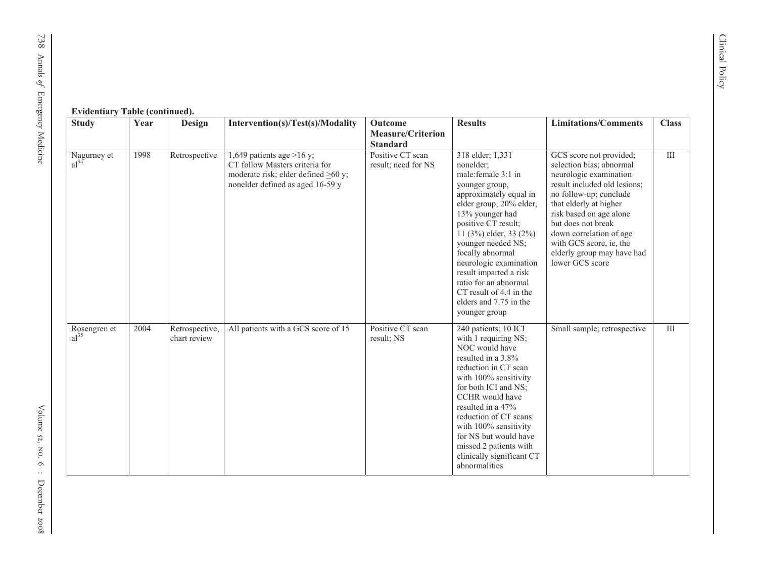| <b>Study</b>                     | Year | <b>Design</b>                  | Intervention(s)/Test(s)/Modality                                                                                                             | Outcome<br><b>Measure/Criterion</b><br><b>Standard</b> | <b>Results</b>                                                                                                                                                                                                                                                                                                                                                                              | <b>Limitations/Comments</b>                                                                                                                                                                                                                                                                                               | <b>Class</b> |
|----------------------------------|------|--------------------------------|----------------------------------------------------------------------------------------------------------------------------------------------|--------------------------------------------------------|---------------------------------------------------------------------------------------------------------------------------------------------------------------------------------------------------------------------------------------------------------------------------------------------------------------------------------------------------------------------------------------------|---------------------------------------------------------------------------------------------------------------------------------------------------------------------------------------------------------------------------------------------------------------------------------------------------------------------------|--------------|
| Nagurney et $al^{34}$            | 1998 | Retrospective                  | 1,649 patients age >16 y;<br>CT follow Masters criteria for<br>moderate risk; elder defined $\geq 60$ y;<br>nonelder defined as aged 16-59 y | Positive CT scan<br>result; need for NS                | 318 elder; 1,331<br>nonelder;<br>male:female 3:1 in<br>younger group,<br>approximately equal in<br>elder group; 20% elder,<br>13% younger had<br>positive CT result;<br>11 (3%) elder, 33 (2%)<br>younger needed NS;<br>focally abnormal<br>neurologic examination<br>result imparted a risk<br>ratio for an abnormal<br>CT result of 4.4 in the<br>elders and 7.75 in the<br>younger group | GCS score not provided;<br>selection bias; abnormal<br>neurologic examination<br>result included old lesions;<br>no follow-up; conclude<br>that elderly at higher<br>risk based on age alone<br>but does not break<br>down correlation of age<br>with GCS score, ie, the<br>elderly group may have had<br>lower GCS score | $\rm III$    |
| Rosengren et<br>al <sup>35</sup> | 2004 | Retrospective,<br>chart review | All patients with a GCS score of 15                                                                                                          | Positive CT scan<br>result; NS                         | 240 patients; 10 ICI<br>with 1 requiring NS;<br>NOC would have<br>resulted in a 3.8%<br>reduction in CT scan<br>with 100% sensitivity<br>for both ICI and NS;<br>CCHR would have<br>resulted in a 47%<br>reduction of CT scans<br>with 100% sensitivity<br>for NS but would have<br>missed 2 patients with<br>clinically significant CT<br>abnormalities                                    | Small sample; retrospective                                                                                                                                                                                                                                                                                               | III          |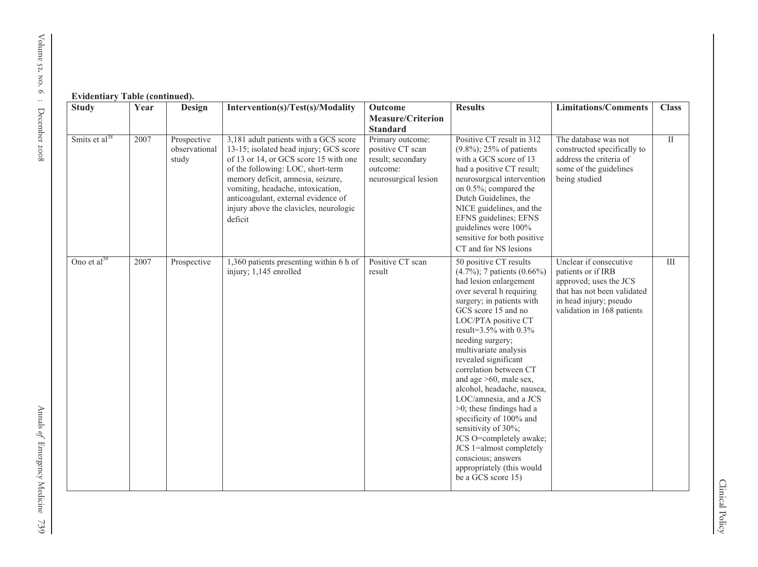| <b>Evidentiary Table (continued).</b> |  |  |  |
|---------------------------------------|--|--|--|
|---------------------------------------|--|--|--|

| <b>Study</b>              | Year | Design                                | Intervention(s)/Test(s)/Modality                                                                                                                                                                                                                                                                                                    | <b>Outcome</b><br><b>Measure/Criterion</b><br><b>Standard</b>                                 | <b>Results</b>                                                                                                                                                                                                                                                                                                                                                                                                                                                                                                                                                                                                             | <b>Limitations/Comments</b>                                                                                                                                   | <b>Class</b> |
|---------------------------|------|---------------------------------------|-------------------------------------------------------------------------------------------------------------------------------------------------------------------------------------------------------------------------------------------------------------------------------------------------------------------------------------|-----------------------------------------------------------------------------------------------|----------------------------------------------------------------------------------------------------------------------------------------------------------------------------------------------------------------------------------------------------------------------------------------------------------------------------------------------------------------------------------------------------------------------------------------------------------------------------------------------------------------------------------------------------------------------------------------------------------------------------|---------------------------------------------------------------------------------------------------------------------------------------------------------------|--------------|
| Smits et al <sup>38</sup> | 2007 | Prospective<br>observational<br>study | 3,181 adult patients with a GCS score<br>13-15; isolated head injury; GCS score<br>of 13 or 14, or GCS score 15 with one<br>of the following: LOC, short-term<br>memory deficit, amnesia, seizure,<br>vomiting, headache, intoxication,<br>anticoagulant, external evidence of<br>injury above the clavicles, neurologic<br>deficit | Primary outcome:<br>positive CT scan<br>result; secondary<br>outcome:<br>neurosurgical lesion | Positive CT result in 312<br>$(9.8\%)$ ; 25% of patients<br>with a GCS score of 13<br>had a positive CT result;<br>neurosurgical intervention<br>on 0.5%; compared the<br>Dutch Guidelines, the<br>NICE guidelines, and the<br>EFNS guidelines; EFNS<br>guidelines were 100%<br>sensitive for both positive<br>CT and for NS lesions                                                                                                                                                                                                                                                                                       | The database was not<br>constructed specifically to<br>address the criteria of<br>some of the guidelines<br>being studied                                     | $\rm II$     |
| Ono et al <sup>39</sup>   | 2007 | Prospective                           | 1,360 patients presenting within 6 h of<br>injury; 1,145 enrolled                                                                                                                                                                                                                                                                   | Positive CT scan<br>result                                                                    | 50 positive CT results<br>$(4.7\%)$ ; 7 patients $(0.66\%)$<br>had lesion enlargement<br>over several h requiring<br>surgery; in patients with<br>GCS score 15 and no<br>LOC/PTA positive CT<br>result= $3.5\%$ with 0.3%<br>needing surgery;<br>multivariate analysis<br>revealed significant<br>correlation between CT<br>and age $>60$ , male sex,<br>alcohol, headache, nausea,<br>LOC/amnesia, and a JCS<br>>0; these findings had a<br>specificity of 100% and<br>sensitivity of 30%;<br>JCS O=completely awake;<br>JCS 1=almost completely<br>conscious; answers<br>appropriately (this would<br>be a GCS score 15) | Unclear if consecutive<br>patients or if IRB<br>approved; uses the JCS<br>that has not been validated<br>in head injury; pseudo<br>validation in 168 patients | III          |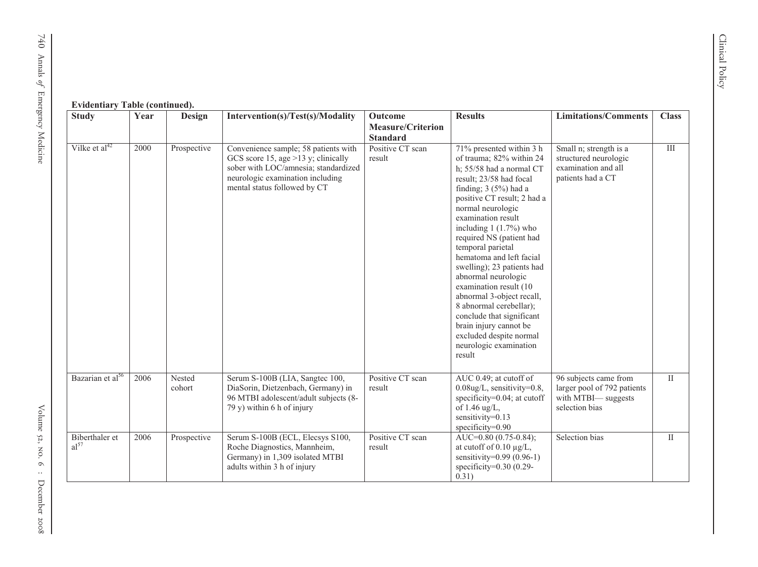| <b>Study</b>                       | Year | Design           | Intervention(s)/Test(s)/Modality                                                                                                                                                          | <b>Outcome</b><br><b>Measure/Criterion</b><br><b>Standard</b> | <b>Results</b>                                                                                                                                                                                                                                                                                                                                                                                                                                                                                                                                                                        | <b>Limitations/Comments</b>                                                                  | <b>Class</b> |
|------------------------------------|------|------------------|-------------------------------------------------------------------------------------------------------------------------------------------------------------------------------------------|---------------------------------------------------------------|---------------------------------------------------------------------------------------------------------------------------------------------------------------------------------------------------------------------------------------------------------------------------------------------------------------------------------------------------------------------------------------------------------------------------------------------------------------------------------------------------------------------------------------------------------------------------------------|----------------------------------------------------------------------------------------------|--------------|
| Vilke et $al42$                    | 2000 | Prospective      | Convenience sample; 58 patients with<br>GCS score 15, age $>13$ y; clinically<br>sober with LOC/amnesia; standardized<br>neurologic examination including<br>mental status followed by CT | Positive CT scan<br>result                                    | 71% presented within 3 h<br>of trauma; 82% within 24<br>h; 55/58 had a normal CT<br>result; 23/58 had focal<br>finding; $3(5%)$ had a<br>positive CT result; 2 had a<br>normal neurologic<br>examination result<br>including $1(1.7\%)$ who<br>required NS (patient had<br>temporal parietal<br>hematoma and left facial<br>swelling); 23 patients had<br>abnormal neurologic<br>examination result (10<br>abnormal 3-object recall,<br>8 abnormal cerebellar);<br>conclude that significant<br>brain injury cannot be<br>excluded despite normal<br>neurologic examination<br>result | Small n; strength is a<br>structured neurologic<br>examination and all<br>patients had a CT  | III          |
| Bazarian et al <sup>56</sup>       | 2006 | Nested<br>cohort | Serum S-100B (LIA, Sangtec 100,<br>DiaSorin, Dietzenbach, Germany) in<br>96 MTBI adolescent/adult subjects (8-<br>79 y) within 6 h of injury                                              | Positive CT scan<br>result                                    | AUC 0.49; at cutoff of<br>0.08ug/L, sensitivity=0.8,<br>specificity= $0.04$ ; at cutoff<br>of 1.46 ug/L,<br>sensitivity=0.13<br>specificity=0.90                                                                                                                                                                                                                                                                                                                                                                                                                                      | 96 subjects came from<br>larger pool of 792 patients<br>with MTBI-suggests<br>selection bias | $\mathbf{H}$ |
| Biberthaler et<br>al <sup>57</sup> | 2006 | Prospective      | Serum S-100B (ECL, Elecsys S100,<br>Roche Diagnostics, Mannheim,<br>Germany) in 1,309 isolated MTBI<br>adults within 3 h of injury                                                        | Positive CT scan<br>result                                    | AUC= $0.80$ (0.75-0.84);<br>at cutoff of $0.10 \mu g/L$ ,<br>sensitivity= $0.99(0.96-1)$<br>specificity= $0.30$ (0.29-<br>0.31)                                                                                                                                                                                                                                                                                                                                                                                                                                                       | Selection bias                                                                               | $\rm II$     |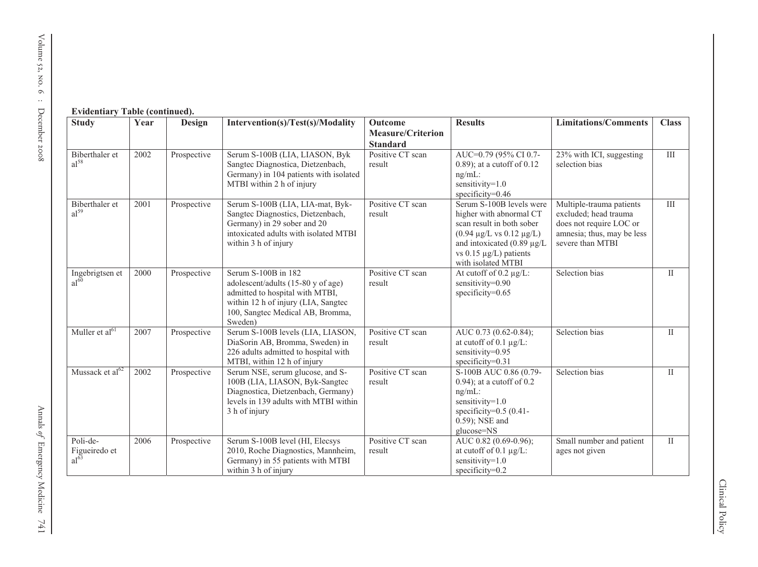| <b>Study</b>                           | Year | Design      | Intervention(s)/Test(s)/Modality                                                                                                                                                   | <b>Outcome</b><br><b>Measure/Criterion</b><br><b>Standard</b> | <b>Results</b>                                                                                                                                                                                                          | <b>Limitations/Comments</b>                                                                                                    | <b>Class</b> |
|----------------------------------------|------|-------------|------------------------------------------------------------------------------------------------------------------------------------------------------------------------------------|---------------------------------------------------------------|-------------------------------------------------------------------------------------------------------------------------------------------------------------------------------------------------------------------------|--------------------------------------------------------------------------------------------------------------------------------|--------------|
| Biberthaler et<br>$al^{58}$            | 2002 | Prospective | Serum S-100B (LIA, LIASON, Byk<br>Sangtec Diagnostica, Dietzenbach,<br>Germany) in 104 patients with isolated<br>MTBI within 2 h of injury                                         | Positive CT scan<br>result                                    | AUC=0.79 (95% CI 0.7-<br>$(0.89)$ ; at a cutoff of $(0.12)$<br>$ng/mL$ :<br>sensitivity=1.0<br>specificity=0.46                                                                                                         | 23% with ICI, suggesting<br>selection bias                                                                                     | III          |
| Biberthaler et<br>$a1^{59}$            | 2001 | Prospective | Serum S-100B (LIA, LIA-mat, Byk-<br>Sangtec Diagnostics, Dietzenbach,<br>Germany) in 29 sober and 20<br>intoxicated adults with isolated MTBI<br>within 3 h of injury              | Positive CT scan<br>result                                    | Serum S-100B levels were<br>higher with abnormal CT<br>scan result in both sober<br>$(0.94 \mu g/L \text{ vs } 0.12 \mu g/L)$<br>and intoxicated $(0.89 \mu g/L)$<br>vs $0.15 \mu g/L$ ) patients<br>with isolated MTBI | Multiple-trauma patients<br>excluded; head trauma<br>does not require LOC or<br>amnesia; thus, may be less<br>severe than MTBI | III          |
| Ingebrigtsen et al <sup>60</sup>       | 2000 | Prospective | Serum S-100B in 182<br>adolescent/adults (15-80 y of age)<br>admitted to hospital with MTBI,<br>within 12 h of injury (LIA, Sangtec<br>100, Sangtec Medical AB, Bromma,<br>Sweden) | Positive CT scan<br>result                                    | At cutoff of $0.2 \mu g/L$ :<br>sensitivity=0.90<br>specificity=0.65                                                                                                                                                    | Selection bias                                                                                                                 | $\mathbf{H}$ |
| Muller et al <sup>61</sup>             | 2007 | Prospective | Serum S-100B levels (LIA, LIASON,<br>DiaSorin AB, Bromma, Sweden) in<br>226 adults admitted to hospital with<br>MTBI, within 12 h of injury                                        | Positive CT scan<br>result                                    | AUC 0.73 (0.62-0.84);<br>at cutoff of 0.1 $\mu$ g/L:<br>sensitivity=0.95<br>specificity=0.31                                                                                                                            | Selection bias                                                                                                                 | $\mathbf{I}$ |
| Mussack et al <sup>62</sup>            | 2002 | Prospective | Serum NSE, serum glucose, and S-<br>100B (LIA, LIASON, Byk-Sangtec<br>Diagnostica, Dietzenbach, Germany)<br>levels in 139 adults with MTBI within<br>3 h of injury                 | Positive CT scan<br>result                                    | S-100B AUC 0.86 (0.79-<br>$(0.94)$ ; at a cutoff of 0.2<br>$ng/mL$ :<br>sensitivity=1.0<br>specificity=0.5 (0.41-<br>0.59); NSE and<br>glucose=NS                                                                       | Selection bias                                                                                                                 | $\mathbf{I}$ |
| Poli-de-<br>Figueiredo et<br>$a1^{63}$ | 2006 | Prospective | Serum S-100B level (HI, Elecsys<br>2010, Roche Diagnostics, Mannheim,<br>Germany) in 55 patients with MTBI<br>within 3 h of injury                                                 | Positive CT scan<br>result                                    | AUC 0.82 (0.69-0.96);<br>at cutoff of 0.1 µg/L:<br>sensitivity=1.0<br>specificity= $0.2$                                                                                                                                | Small number and patient<br>ages not given                                                                                     | $\mathbf{I}$ |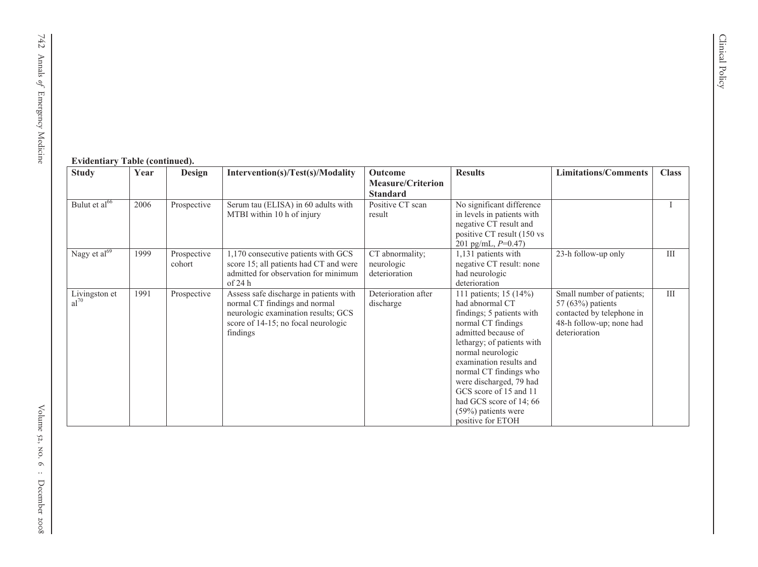| <b>Study</b>               | Year | <b>Design</b>         | Intervention(s)/Test(s)/Modality                                                                                                                                  | <b>Outcome</b>                                 | <b>Results</b>                                                                                                                                                                                                                                                                                                                                             | <b>Limitations/Comments</b>                                                                                               | <b>Class</b> |
|----------------------------|------|-----------------------|-------------------------------------------------------------------------------------------------------------------------------------------------------------------|------------------------------------------------|------------------------------------------------------------------------------------------------------------------------------------------------------------------------------------------------------------------------------------------------------------------------------------------------------------------------------------------------------------|---------------------------------------------------------------------------------------------------------------------------|--------------|
|                            |      |                       |                                                                                                                                                                   | <b>Measure/Criterion</b><br><b>Standard</b>    |                                                                                                                                                                                                                                                                                                                                                            |                                                                                                                           |              |
| Bulut et al $^{66}$        | 2006 | Prospective           | Serum tau (ELISA) in 60 adults with<br>MTBI within 10 h of injury                                                                                                 | Positive CT scan<br>result                     | No significant difference<br>in levels in patients with<br>negative CT result and<br>positive CT result (150 vs<br>201 pg/mL, $P=0.47$ )                                                                                                                                                                                                                   |                                                                                                                           |              |
| Nagy et $al^{69}$          | 1999 | Prospective<br>cohort | 1,170 consecutive patients with GCS<br>score 15; all patients had CT and were<br>admitted for observation for minimum<br>of 24 h                                  | CT abnormality;<br>neurologic<br>deterioration | 1,131 patients with<br>negative CT result: none<br>had neurologic<br>deterioration                                                                                                                                                                                                                                                                         | 23-h follow-up only                                                                                                       | III          |
| Livingston et<br>$al^{70}$ | 1991 | Prospective           | Assess safe discharge in patients with<br>normal CT findings and normal<br>neurologic examination results; GCS<br>score of 14-15; no focal neurologic<br>findings | Deterioration after<br>discharge               | 111 patients; 15 (14%)<br>had abnormal CT<br>findings; 5 patients with<br>normal CT findings<br>admitted because of<br>lethargy; of patients with<br>normal neurologic<br>examination results and<br>normal CT findings who<br>were discharged, 79 had<br>GCS score of 15 and 11<br>had GCS score of 14; 66<br>$(59\%)$ patients were<br>positive for ETOH | Small number of patients;<br>$57(63%)$ patients<br>contacted by telephone in<br>48-h follow-up; none had<br>deterioration | III          |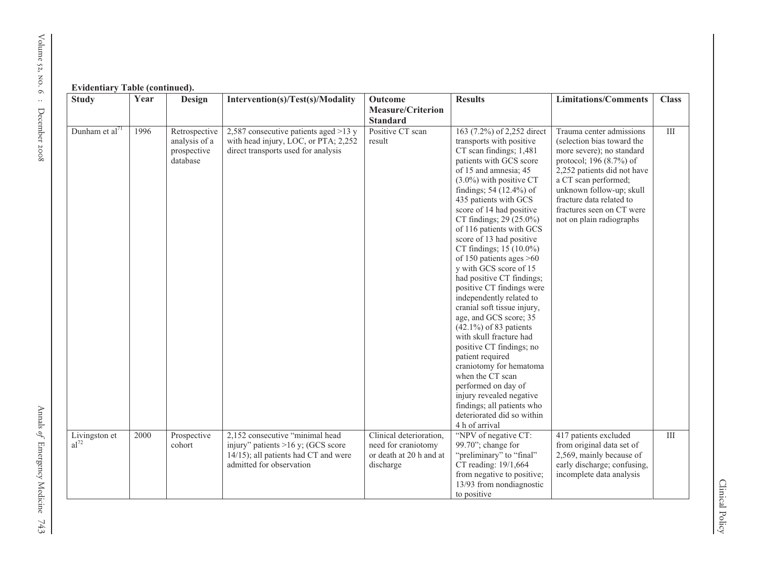| <b>Study</b>               | Year | Design                                                    | Intervention(s)/Test(s)/Modality                                                                                                          | Outcome<br><b>Measure/Criterion</b><br><b>Standard</b>                                 | <b>Results</b>                                                                                                                                                                                                                                                                                                                                                                                                                                                                                                                                                                                                                                                                                                                                                                                                                                                   | <b>Limitations/Comments</b>                                                                                                                                                                                                                                                            | <b>Class</b> |
|----------------------------|------|-----------------------------------------------------------|-------------------------------------------------------------------------------------------------------------------------------------------|----------------------------------------------------------------------------------------|------------------------------------------------------------------------------------------------------------------------------------------------------------------------------------------------------------------------------------------------------------------------------------------------------------------------------------------------------------------------------------------------------------------------------------------------------------------------------------------------------------------------------------------------------------------------------------------------------------------------------------------------------------------------------------------------------------------------------------------------------------------------------------------------------------------------------------------------------------------|----------------------------------------------------------------------------------------------------------------------------------------------------------------------------------------------------------------------------------------------------------------------------------------|--------------|
| Dunham et $al71$           | 1996 | Retrospective<br>analysis of a<br>prospective<br>database | 2,587 consecutive patients aged $>13$ y<br>with head injury, LOC, or PTA; 2,252<br>direct transports used for analysis                    | Positive CT scan<br>result                                                             | 163 (7.2%) of 2,252 direct<br>transports with positive<br>CT scan findings; 1,481<br>patients with GCS score<br>of 15 and amnesia; 45<br>$(3.0\%)$ with positive CT<br>findings; $54(12.4\%)$ of<br>435 patients with GCS<br>score of 14 had positive<br>CT findings; 29 (25.0%)<br>of 116 patients with GCS<br>score of 13 had positive<br>CT findings; 15 (10.0%)<br>of 150 patients ages >60<br>y with GCS score of 15<br>had positive CT findings;<br>positive CT findings were<br>independently related to<br>cranial soft tissue injury,<br>age, and GCS score; 35<br>$(42.1\%)$ of 83 patients<br>with skull fracture had<br>positive CT findings; no<br>patient required<br>craniotomy for hematoma<br>when the CT scan<br>performed on day of<br>injury revealed negative<br>findings; all patients who<br>deteriorated did so within<br>4 h of arrival | Trauma center admissions<br>(selection bias toward the<br>more severe); no standard<br>protocol; 196 (8.7%) of<br>2,252 patients did not have<br>a CT scan performed;<br>unknown follow-up; skull<br>fracture data related to<br>fractures seen on CT were<br>not on plain radiographs | III          |
| Livingston et<br>$a1^{72}$ | 2000 | Prospective<br>cohort                                     | 2,152 consecutive "minimal head<br>injury" patients >16 y; (GCS score<br>14/15); all patients had CT and were<br>admitted for observation | Clinical deterioration,<br>need for craniotomy<br>or death at 20 h and at<br>discharge | "NPV of negative CT:<br>99.70"; change for<br>"preliminary" to "final"<br>CT reading: 19/1,664<br>from negative to positive;<br>13/93 from nondiagnostic<br>to positive                                                                                                                                                                                                                                                                                                                                                                                                                                                                                                                                                                                                                                                                                          | 417 patients excluded<br>from original data set of<br>2,569, mainly because of<br>early discharge; confusing,<br>incomplete data analysis                                                                                                                                              | III          |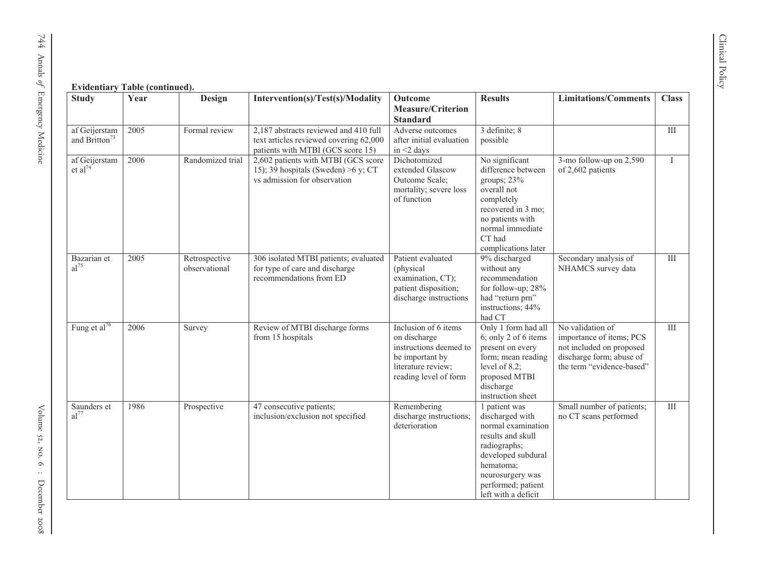|                                            | е уненияту таріе (сопинени). |                                |                                                                                                                      |                                                                                                                                  |                                                                                                                                                                                                 |                                                                                                                                   |                  |
|--------------------------------------------|------------------------------|--------------------------------|----------------------------------------------------------------------------------------------------------------------|----------------------------------------------------------------------------------------------------------------------------------|-------------------------------------------------------------------------------------------------------------------------------------------------------------------------------------------------|-----------------------------------------------------------------------------------------------------------------------------------|------------------|
| <b>Study</b>                               | Year                         | <b>Design</b>                  | Intervention(s)/Test(s)/Modality                                                                                     | <b>Outcome</b><br><b>Measure/Criterion</b><br><b>Standard</b>                                                                    | <b>Results</b>                                                                                                                                                                                  | <b>Limitations/Comments</b>                                                                                                       | <b>Class</b>     |
| af Geijerstam<br>and Britton <sup>73</sup> | 2005                         | Formal review                  | 2.187 abstracts reviewed and 410 full<br>text articles reviewed covering 62,000<br>patients with MTBI (GCS score 15) | Adverse outcomes<br>after initial evaluation<br>in $<$ 2 days                                                                    | 3 definite; 8<br>possible                                                                                                                                                                       |                                                                                                                                   | III              |
| af Geijerstam<br>et al <sup>74</sup>       | 2006                         | Randomized trial               | 2,602 patients with MTBI (GCS score<br>15); 39 hospitals (Sweden) $>6$ y; CT<br>vs admission for observation         | Dichotomized<br>extended Glascow<br>Outcome Scale:<br>mortality; severe loss<br>of function                                      | No significant<br>difference between<br>groups; $23%$<br>overall not<br>completely<br>recovered in 3 mo;<br>no patients with<br>normal immediate<br>CT had<br>complications later               | 3-mo follow-up on 2,590<br>of 2,602 patients                                                                                      | $\mathbf I$      |
| Bazarian et<br>$al^{75}$                   | 2005                         | Retrospective<br>observational | 306 isolated MTBI patients; evaluated<br>for type of care and discharge<br>recommendations from ED                   | Patient evaluated<br>(physical<br>examination, CT);<br>patient disposition;<br>discharge instructions                            | 9% discharged<br>without any<br>recommendation<br>for follow-up; 28%<br>had "return prn"<br>instructions; 44%<br>had CT                                                                         | Secondary analysis of<br>NHAMCS survey data                                                                                       | III              |
| Fung et al <sup>76</sup>                   | 2006                         | Survey                         | Review of MTBI discharge forms<br>from 15 hospitals                                                                  | Inclusion of 6 items<br>on discharge<br>instructions deemed to<br>be important by<br>literature review;<br>reading level of form | Only 1 form had all<br>6; only 2 of 6 items<br>present on every<br>form; mean reading<br>level of $8.2$ ;<br>proposed MTBI<br>discharge<br>instruction sheet                                    | No validation of<br>importance of items; PCS<br>not included on proposed<br>discharge form; abuse of<br>the term "evidence-based" | III              |
| Saunders et<br>al <sup>77</sup>            | 1986                         | Prospective                    | 47 consecutive patients;<br>inclusion/exclusion not specified                                                        | Remembering<br>discharge instructions;<br>deterioration                                                                          | 1 patient was<br>discharged with<br>normal examination<br>results and skull<br>radiographs;<br>developed subdural<br>hematoma;<br>neurosurgery was<br>performed; patient<br>left with a deficit | Small number of patients;<br>no CT scans performed                                                                                | $\overline{III}$ |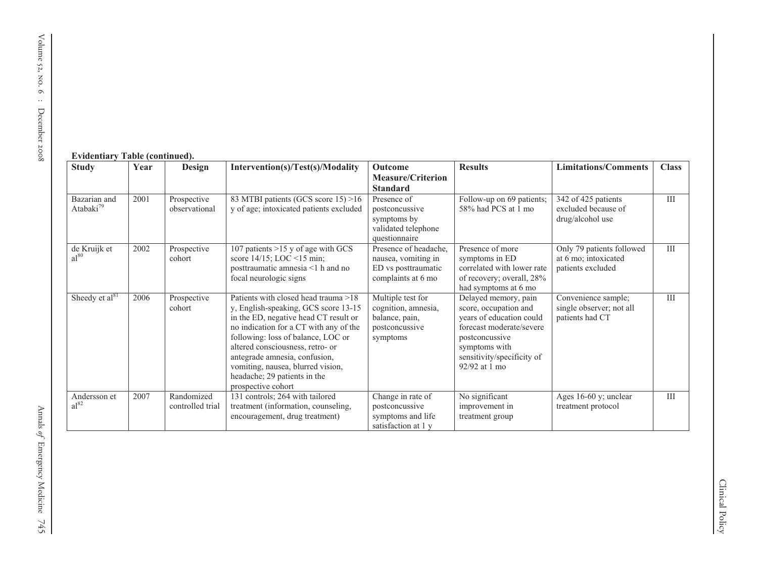| <b>Evidentiary Table (continued).</b> |      |                                |                                                                                                                                                                                                                                                                                                                                                                       |                                                                                           |                                                                                                                                                                                         |                                                                        |              |
|---------------------------------------|------|--------------------------------|-----------------------------------------------------------------------------------------------------------------------------------------------------------------------------------------------------------------------------------------------------------------------------------------------------------------------------------------------------------------------|-------------------------------------------------------------------------------------------|-----------------------------------------------------------------------------------------------------------------------------------------------------------------------------------------|------------------------------------------------------------------------|--------------|
| <b>Study</b>                          | Year | <b>Design</b>                  | Intervention(s)/Test(s)/Modality                                                                                                                                                                                                                                                                                                                                      | <b>Outcome</b><br><b>Measure/Criterion</b><br><b>Standard</b>                             | <b>Results</b>                                                                                                                                                                          | <b>Limitations/Comments</b>                                            | <b>Class</b> |
| Bazarian and<br>Atabaki <sup>79</sup> | 2001 | Prospective<br>observational   | 83 MTBI patients (GCS score 15) >16<br>y of age; intoxicated patients excluded                                                                                                                                                                                                                                                                                        | Presence of<br>postconcussive<br>symptoms by<br>validated telephone<br>questionnaire      | Follow-up on 69 patients;<br>58% had PCS at 1 mo                                                                                                                                        | 342 of 425 patients<br>excluded because of<br>drug/alcohol use         | III          |
| de Kruijk et<br>$al^{80}$             | 2002 | Prospective<br>cohort          | 107 patients >15 y of age with GCS<br>score $14/15$ ; LOC <15 min;<br>posttraumatic amnesia <1 h and no<br>focal neurologic signs                                                                                                                                                                                                                                     | Presence of headache,<br>nausea, vomiting in<br>ED vs posttraumatic<br>complaints at 6 mo | Presence of more<br>symptoms in ED<br>correlated with lower rate<br>of recovery; overall, 28%<br>had symptoms at 6 mo                                                                   | Only 79 patients followed<br>at 6 mo; intoxicated<br>patients excluded | III          |
| Sheedy et $al81$                      | 2006 | Prospective<br>cohort          | Patients with closed head trauma >18<br>y, English-speaking, GCS score 13-15<br>in the ED, negative head CT result or<br>no indication for a CT with any of the<br>following: loss of balance, LOC or<br>altered consciousness, retro- or<br>antegrade amnesia, confusion,<br>vomiting, nausea, blurred vision,<br>headache; 29 patients in the<br>prospective cohort | Multiple test for<br>cognition, amnesia,<br>balance, pain,<br>postconcussive<br>symptoms  | Delayed memory, pain<br>score, occupation and<br>years of education could<br>forecast moderate/severe<br>postconcussive<br>symptoms with<br>sensitivity/specificity of<br>92/92 at 1 mo | Convenience sample;<br>single observer; not all<br>patients had CT     | III          |
| Andersson et<br>$al^{82}$             | 2007 | Randomized<br>controlled trial | 131 controls; 264 with tailored<br>treatment (information, counseling,<br>encouragement, drug treatment)                                                                                                                                                                                                                                                              | Change in rate of<br>postconcussive<br>symptoms and life<br>satisfaction at 1 y           | No significant<br>improvement in<br>treatment group                                                                                                                                     | Ages 16-60 y; unclear<br>treatment protocol                            | III          |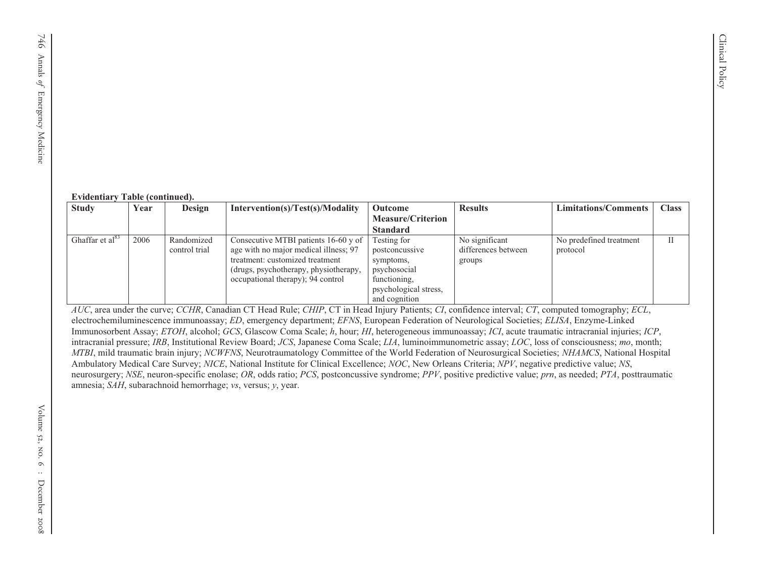| <b>Study</b>                | Year | Design                      | Intervention(s)/Test(s)/Modality                                                                                                                                                               | <b>Outcome</b>                                                                                                       | <b>Results</b>                                  | <b>Limitations/Comments</b>         | <b>Class</b> |
|-----------------------------|------|-----------------------------|------------------------------------------------------------------------------------------------------------------------------------------------------------------------------------------------|----------------------------------------------------------------------------------------------------------------------|-------------------------------------------------|-------------------------------------|--------------|
|                             |      |                             |                                                                                                                                                                                                | <b>Measure/Criterion</b>                                                                                             |                                                 |                                     |              |
|                             |      |                             |                                                                                                                                                                                                | <b>Standard</b>                                                                                                      |                                                 |                                     |              |
| Ghaffar et al <sup>83</sup> | 2006 | Randomized<br>control trial | Consecutive MTBI patients 16-60 y of<br>age with no major medical illness; 97<br>treatment: customized treatment<br>(drugs, psychotherapy, physiotherapy,<br>occupational therapy); 94 control | Testing for<br>postconcussive<br>symptoms,<br>psychosocial<br>functioning.<br>psychological stress,<br>and cognition | No significant<br>differences between<br>groups | No predefined treatment<br>protocol | П            |

*AUC*, area under the curve; *CCHR*, Canadian CT Head Rule; *CHIP*, CT in Head Injury Patients; *CI*, confidence interval; *CT*, computed tomography; *ECL*, electrochemiluminescence immunoassay; *ED*, emergency department; *EFNS*, European Federation of Neurological Societies; *ELISA*, Enzyme-Linked Immunosorbent Assay; *ETOH*, alcohol; *GCS*, Glascow Coma Scale; *h*, hour; *HI*, heterogeneous immunoassay; *ICI*, acute traumatic intracranial injuries; *ICP*, intracranial pressure; *IRB*, Institutional Review Board; *JCS*, Japanese Coma Scale; *LIA*, luminoimmunometric assay; *LOC*, loss of consciousness; *mo*, month; *MTBI*, mild traumatic brain injury; *NCWFNS*, Neurotraumatology Committee of the World Federation of Neurosurgical Societies; *NHAMCS*, National Hospital Ambulatory Medical Care Survey; *NICE*, National Institute for Clinical Excellence; *NOC*, New Orleans Criteria; *NPV*, negative predictive value; *NS*, neurosurgery; *NSE*, neuron-specific enolase; *OR*, odds ratio; *PCS*, postconcussive syndrome; *PPV*, positive predictive value; *prn*, as needed; *PTA*, posttraumatic amnesia; *SAH*, subarachnoid hemorrhage; *vs*, versus; *y*, year.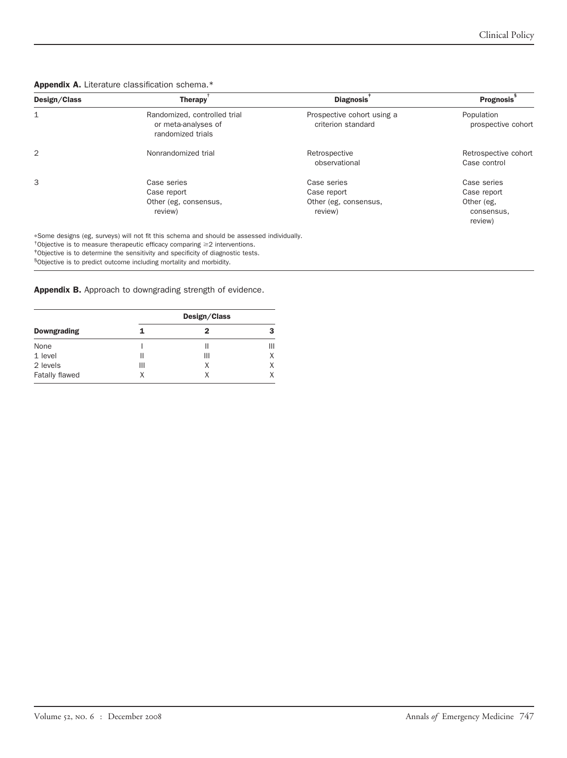### Appendix A. Literature classification schema.\*

| Design/Class   | Therapy                                                                                                                                                                               | Diagnosis                                                      | <b>Prognosis</b>                                                  |
|----------------|---------------------------------------------------------------------------------------------------------------------------------------------------------------------------------------|----------------------------------------------------------------|-------------------------------------------------------------------|
| $\mathbf{1}$   | Randomized, controlled trial<br>or meta-analyses of<br>randomized trials                                                                                                              | Prospective cohort using a<br>criterion standard               | Population<br>prospective cohort                                  |
| $\overline{2}$ | Nonrandomized trial                                                                                                                                                                   | Retrospective<br>observational                                 | Retrospective cohort<br>Case control                              |
| 3              | Case series<br>Case report<br>Other (eg. consensus,<br>review)                                                                                                                        | Case series<br>Case report<br>Other (eg. consensus,<br>review) | Case series<br>Case report<br>Other (eg.<br>consensus.<br>review) |
|                | *Some designs (eg, surveys) will not fit this schema and should be assessed individually.<br>$\dagger$ Objective is to measure therapeutic efficacy comparing $\geq$ 2 interventions. |                                                                |                                                                   |

†Objective is to measure therapeutic efficacy comparing ≥2 interventions.<br>†Objective is to determine the sensitivity and specificity of diagnostic tests.<br>§Objective is to predict outcome including mortality and morbidity.

Appendix B. Approach to downgrading strength of evidence.

|                    |   | Design/Class |   |
|--------------------|---|--------------|---|
| <b>Downgrading</b> |   |              |   |
| None               |   |              | Ш |
| 1 level            |   | Ш            |   |
| 2 levels           | Ш |              |   |
| Fatally flawed     |   |              |   |